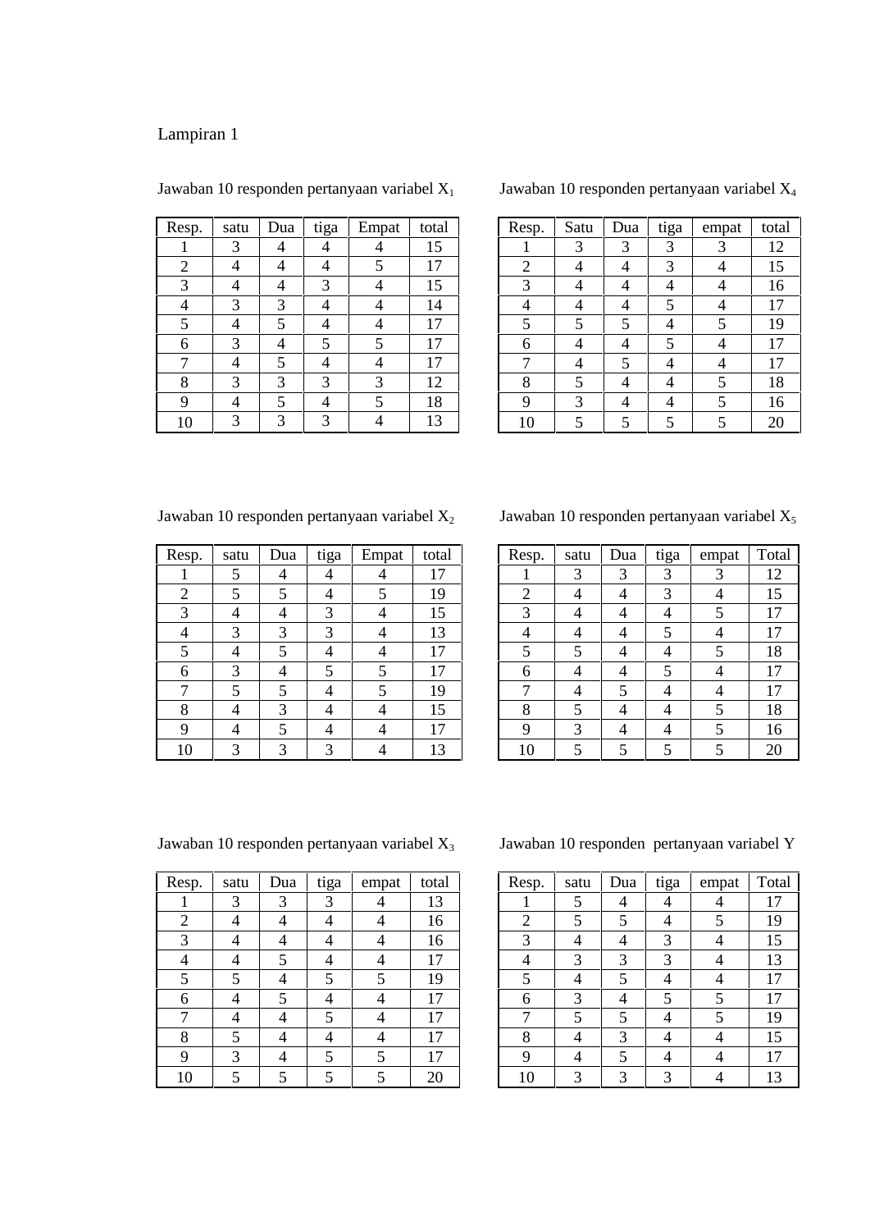| Resp. | satu | Dua | tiga | Empat | total |
|-------|------|-----|------|-------|-------|
|       | 3    |     |      |       | 15    |
| 2     |      |     |      | 5     | 17    |
| 3     |      |     | 3    |       | 15    |
|       | 3    | 3   |      |       | 14    |
| 5     |      | 5   |      |       | 17    |
| 6     | 3    |     | 5    | 5     | 17    |
|       |      | 5   |      |       | 17    |
| 8     | 3    | 3   | 3    | 3     | 12    |
| q     |      | 5   |      | 5     | 18    |
| 10    | 3    | 3   |      |       | 13    |

Jawaban 10 responden pertanyaan variabel  $X_1$ 

Jawaban 10 responden pertanyaan variabel X<sup>4</sup>

| Resp.          | Satu | Dua | tiga | empat | total |
|----------------|------|-----|------|-------|-------|
|                | 3    | 3   | 3    | 3     | 12    |
| $\overline{2}$ |      |     | 3    |       | 15    |
| 3              |      |     |      |       | 16    |
|                |      |     | 5    |       | 17    |
| 5              | 5    | 5   |      | 5     | 19    |
| 6              |      |     | 5    |       | 17    |
| 7              |      | 5   |      |       | 17    |
| 8              | 5    |     |      | 5     | 18    |
| 9              | 3    |     |      | 5     | 16    |
| 10             | 5    | 5   | 5    |       | 20    |

Jawaban 10 responden pertanyaan variabel  $X_2$ 

| Resp.          | satu | Dua | tiga | Empat | total |  |
|----------------|------|-----|------|-------|-------|--|
|                | 5    |     |      |       | 17    |  |
| $\overline{2}$ | 5    | 5   |      | 5     | 19    |  |
| 3              |      |     | 3    |       | 15    |  |
|                | 3    | 3   | 3    |       | 13    |  |
| 5              |      | 5   |      |       | 17    |  |
| 6              | 3    |     | 5    | 5     | 17    |  |
| 7              | 5    | 5   |      | 5     | 19    |  |
| 8              |      | 3   |      |       | 15    |  |
| 9              |      | 5   |      |       | 17    |  |
| 10             |      |     |      |       | 13    |  |

Jawaban 10 responden pertanyaan variabel X<sub>5</sub>

| Resp.          | satu | Dua | tiga | empat | Total |
|----------------|------|-----|------|-------|-------|
|                | 3    | 3   | 3    | 3     | 12    |
| $\overline{2}$ |      |     | 3    |       | 15    |
| 3              |      |     |      | 5     | 17    |
|                |      |     | 5    |       | 17    |
| 5              | 5    |     |      | 5     | 18    |
| 6              |      |     | 5    |       | 17    |
|                |      | 5   |      |       | 17    |
| 8              | 5    |     |      | 5     | 18    |
| 9              | 3    |     |      | 5     | 16    |
| 10             | 5    | 5   |      |       | 20    |

Jawaban 10 responden pertanyaan variabel  $X_3$ 

| Resp.          | satu | Dua | tiga | empat | total |
|----------------|------|-----|------|-------|-------|
|                | 3    | 3   | 3    |       | 13    |
| $\overline{2}$ |      |     |      |       | 16    |
| 3              |      |     |      |       | 16    |
| 4              |      | 5   |      |       | 17    |
| 5              | 5    |     | 5    | 5     | 19    |
| 6              |      | 5   |      |       | 17    |
|                |      |     | 5    |       | 17    |
| 8              | 5    |     |      |       | 17    |
| 9              | 3    |     | 5    | 5     | 17    |
| 10             |      |     |      | 5     | 20    |

Jawaban 10 responden pertanyaan variabel Y

| Resp.          | satu | Dua | tiga | empat | Total |
|----------------|------|-----|------|-------|-------|
|                | 5    |     |      |       | 17    |
| $\overline{2}$ | 5    | 5   |      | 5     | 19    |
| 3              |      |     | 3    |       | 15    |
|                | 3    | 3   | 3    |       | 13    |
| 5              |      | 5   |      |       | 17    |
| 6              | 3    |     |      | 5     | 17    |
| 7              | 5    | 5   |      | 5     | 19    |
| 8              |      | 3   |      |       | 15    |
| 9              |      | 5   |      |       | 17    |
| 10             | 3    | 3   |      |       | 13    |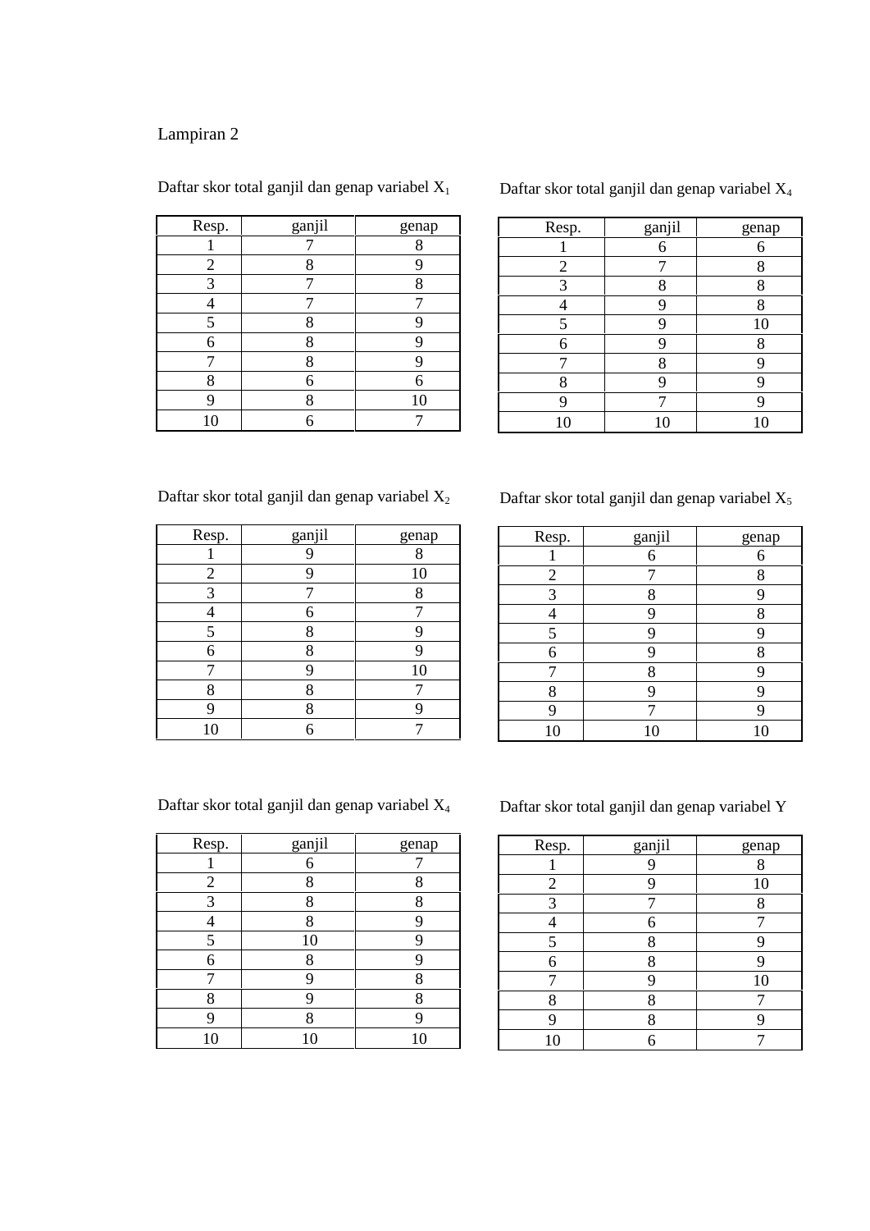| Resp. | ganjil | genap |
|-------|--------|-------|
|       |        | 8     |
| 2     | 8      |       |
| 3     |        | o     |
|       |        |       |
| 5     | 8      |       |
| 6     | 8      |       |
|       | 8      |       |
| 8     | 6      | 6     |
|       | 8      | 10    |
| 10    |        |       |

Daftar skor total ganjil dan genap variabel  $X_1$ 

Daftar skor total ganjil dan genap variabel X<sup>4</sup>

| Resp.          | ganjil | genap |  |
|----------------|--------|-------|--|
|                | 6      | 6     |  |
| $\overline{2}$ |        | 8     |  |
| 3              | 8      | 8     |  |
|                | Q      | 8     |  |
| 5              | q      | 10    |  |
| 6              |        | Q     |  |
|                | 8      |       |  |
| 8              | q      |       |  |
| 9              |        |       |  |
| 10             | 10     | 10    |  |

Daftar skor total ganjil dan genap variabel  $X_2$ 

| Resp.          | ganjil | genap |
|----------------|--------|-------|
|                |        | 8     |
| $\overline{2}$ |        | 10    |
| 3              |        | 8     |
|                | 6      |       |
| 5              | 8      | q     |
| 6              | 8      |       |
| 7              | q      | 10    |
| 8              | 8      |       |
| q              | 8      |       |
| 10             |        |       |

Daftar skor total ganjil dan genap variabel  $X_5$ 

| Resp. | ganjil | genap |
|-------|--------|-------|
|       | 6      | 6     |
| 2     |        | 8     |
| 3     | 8      |       |
|       | q      | 8     |
| ς     | ∩      |       |
| 6     |        | 8     |
|       | 8      |       |
| 8     |        |       |
|       |        |       |
| 10    | 10     | 10    |
|       |        |       |

Daftar skor total ganjil dan genap variabel X<sup>4</sup>

| Resp.          | ganjil | genap |
|----------------|--------|-------|
|                | 6      |       |
| $\overline{2}$ | 8      | o     |
| 3              | 8      | 8     |
|                | 8      |       |
| 5              | 10     | റ     |
| 6              | 8      |       |
|                | q      | 8     |
| 8              | Q      | 8     |
| q              | Ջ      |       |
| 10             |        |       |

Daftar skor total ganjil dan genap variabel Y

| Resp.          | ganjil | genap |
|----------------|--------|-------|
|                |        | 8     |
| $\overline{2}$ | q      | 10    |
| 3              |        | 8     |
|                | 6      |       |
| 5              | 8      | O     |
| 6              | 8      |       |
|                | q      | 10    |
| 8              | 8      |       |
|                | Q      |       |
| 10             |        |       |
|                |        |       |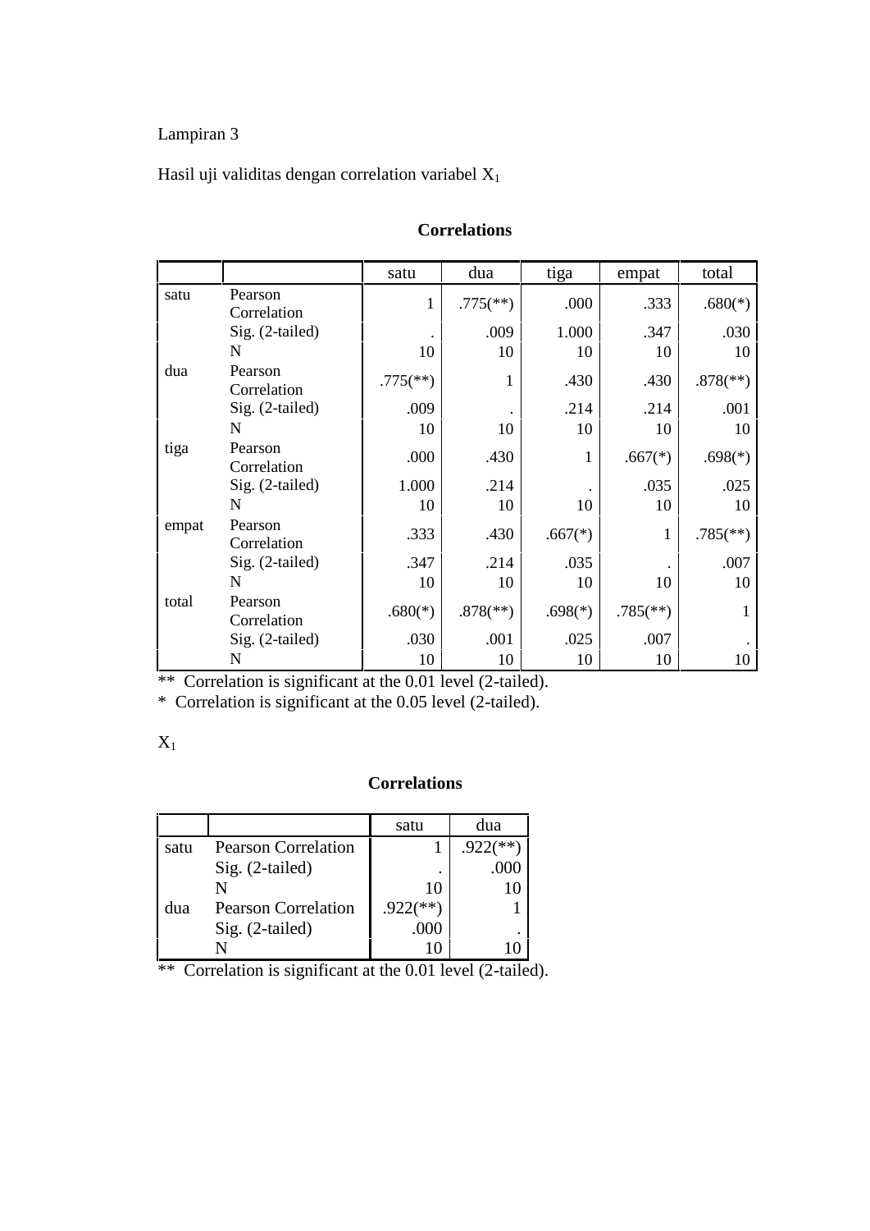Hasil uji validitas dengan correlation variabel  $X_1$ 

|       |                        | satu                     | dua                      | tiga      | empat                    | total                    |  |
|-------|------------------------|--------------------------|--------------------------|-----------|--------------------------|--------------------------|--|
| satu  | Pearson<br>Correlation | $\mathbf{1}$             | $.775$ <sup>(**)</sup> ) | .000      | .333                     | $.680(*)$                |  |
|       | Sig. (2-tailed)        |                          | .009                     | 1.000     | .347                     | .030                     |  |
|       | N                      | 10                       | 10                       | 10        | 10                       | 10                       |  |
| dua   | Pearson<br>Correlation | $.775$ <sup>(**)</sup> ) | 1                        | .430      | .430                     | $.878$ <sup>(**)</sup> ) |  |
|       | Sig. (2-tailed)        | .009                     |                          | .214      | .214                     | .001                     |  |
|       | N                      | 10                       | 10                       | 10        | 10                       | 10                       |  |
| tiga  | Pearson<br>Correlation | .000                     | .430                     | 1         | $.667(*)$                | $.698(*)$                |  |
|       | Sig. (2-tailed)        | 1.000                    | .214                     |           | .035                     | .025                     |  |
|       | N                      | 10                       | 10                       | 10        | 10                       | 10                       |  |
| empat | Pearson<br>Correlation | .333                     | .430                     | $.667(*)$ | 1                        | $.785$ <sup>(**)</sup> ) |  |
|       | Sig. (2-tailed)        | .347                     | .214                     | .035      |                          | .007                     |  |
|       | N                      | 10                       | 10                       | 10        | 10                       | 10                       |  |
| total | Pearson<br>Correlation | $.680(*)$                | $.878$ <sup>(**)</sup> ) | $.698(*)$ | $.785$ <sup>(**)</sup> ) | 1                        |  |
|       | Sig. (2-tailed)        | .030                     | .001                     | .025      | .007                     |                          |  |
|       | N                      | 10                       | 10                       | 10        | 10                       | 10                       |  |

#### **Correlations**

\*\* Correlation is significant at the 0.01 level (2-tailed).

\* Correlation is significant at the 0.05 level (2-tailed).

#### $X_1$

#### **Correlations**

|      |                            | satu         | dua         |
|------|----------------------------|--------------|-------------|
| satu | <b>Pearson Correlation</b> |              | **)<br>.922 |
|      | $Sig. (2-tailed)$          |              | .000        |
|      |                            | 10           |             |
| dua  | <b>Pearson Correlation</b> | **`<br>.922( |             |
|      | Sig. (2-tailed)            | .000         |             |
|      |                            |              |             |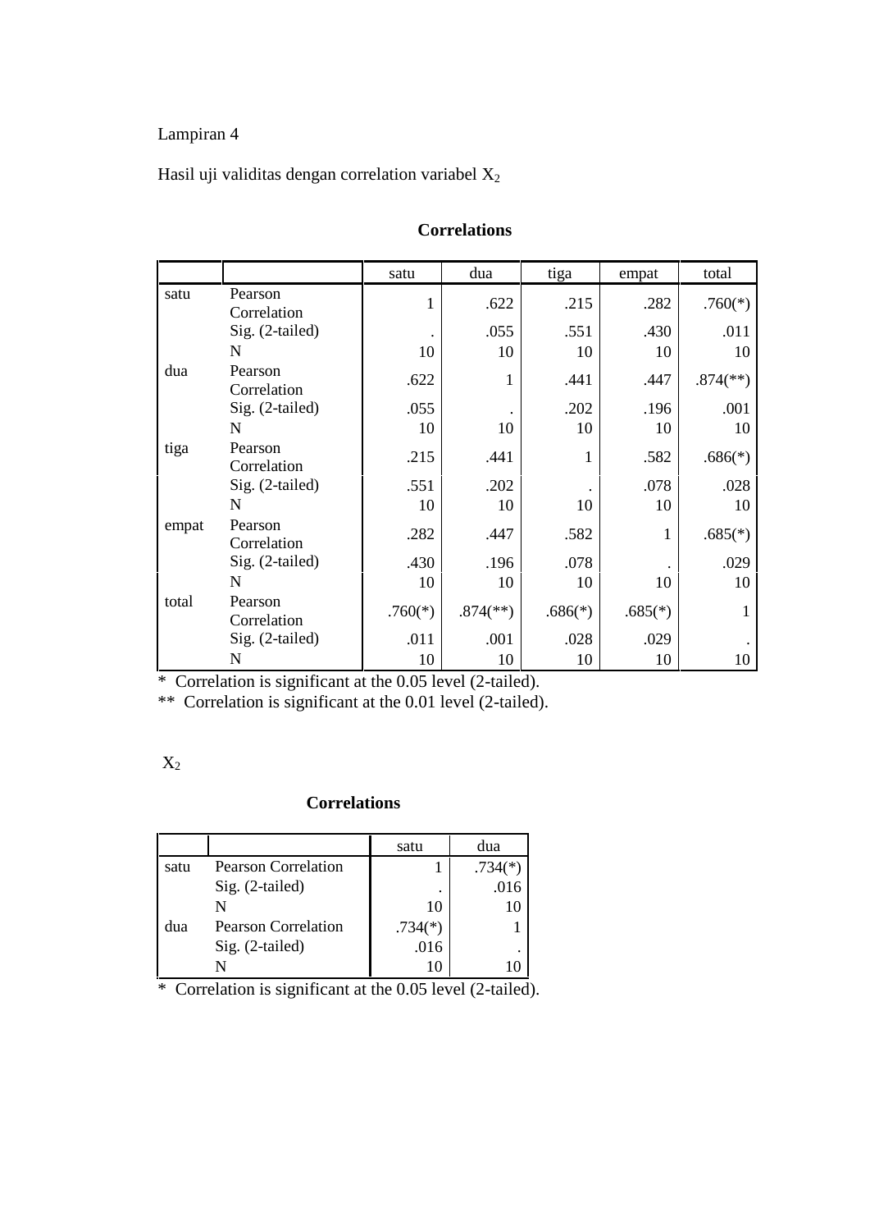#### Hasil uji validitas dengan correlation variabel  $X_2$

|       |                        | satu      | dua                      | tiga      | empat     | total                    |  |
|-------|------------------------|-----------|--------------------------|-----------|-----------|--------------------------|--|
| satu  | Pearson<br>Correlation | 1         | .622                     | .215      | .282      | $.760(*)$                |  |
|       | Sig. (2-tailed)        |           | .055                     | .551      | .430      | .011                     |  |
|       | N                      | 10        | 10                       | 10        | 10        | 10                       |  |
| dua   | Pearson<br>Correlation | .622      | 1                        | .441      | .447      | $.874$ <sup>(**)</sup> ) |  |
|       | Sig. (2-tailed)        | .055      |                          | .202      | .196      | .001                     |  |
|       | N                      | 10        | 10                       | 10        | 10        | 10                       |  |
| tiga  | Pearson<br>Correlation | .215      | .441                     |           | .582      | $.686(*)$                |  |
|       | Sig. (2-tailed)        | .551      | .202                     |           | .078      | .028                     |  |
|       | N                      | 10        | 10                       | 10        | 10        | 10                       |  |
| empat | Pearson<br>Correlation | .282      | .447                     | .582      | 1         | $.685(*)$                |  |
|       | Sig. (2-tailed)        | .430      | .196                     | .078      |           | .029                     |  |
|       | N                      | 10        | 10                       | 10        | 10        | 10                       |  |
| total | Pearson<br>Correlation | $.760(*)$ | $.874$ <sup>(**)</sup> ) | $.686(*)$ | $.685(*)$ | 1                        |  |
|       | Sig. (2-tailed)        | .011      | .001                     | .028      | .029      |                          |  |
|       | N                      | 10        | 10                       | 10        | 10        | 10                       |  |

#### **Correlations**

\* Correlation is significant at the 0.05 level (2-tailed).

\*\* Correlation is significant at the 0.01 level (2-tailed).

|--|

#### **Correlations**

|      |                            | satu      | dua       |
|------|----------------------------|-----------|-----------|
| satu | <b>Pearson Correlation</b> |           | $.734(*)$ |
|      | Sig. (2-tailed)            | ٠         | .016      |
|      |                            | 10        |           |
| dua  | <b>Pearson Correlation</b> | $.734(*)$ |           |
|      | Sig. (2-tailed)            | .016      | ٠         |
|      |                            |           |           |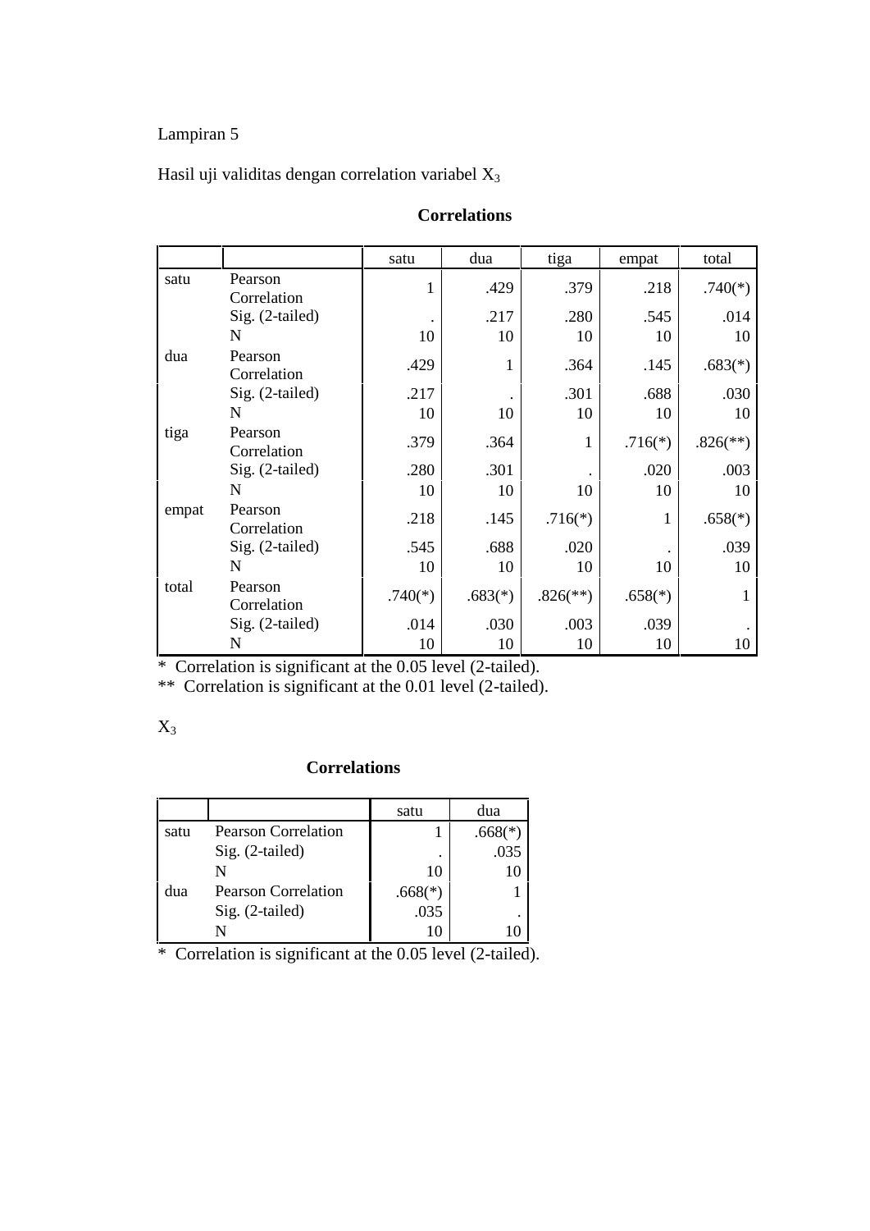Hasil uji validitas dengan correlation variabel  $X_3$ 

|       |                        | satu      | dua       | tiga                     | empat     | total                    |
|-------|------------------------|-----------|-----------|--------------------------|-----------|--------------------------|
| satu  | Pearson<br>Correlation | 1         | .429      | .379                     | .218      | $.740(*)$                |
|       | Sig. (2-tailed)        |           | .217      | .280                     | .545      | .014                     |
|       | N                      | 10        | 10        | 10                       | 10        | 10                       |
| dua   | Pearson<br>Correlation | .429      | 1         | .364                     | .145      | $.683(*)$                |
|       | Sig. (2-tailed)        | .217      |           | .301                     | .688      | .030                     |
|       | N                      | 10        | 10        | 10                       | 10        | 10                       |
| tiga  | Pearson<br>Correlation | .379      | .364      | 1                        | $.716(*)$ | $.826$ <sup>(**)</sup> ) |
|       | Sig. (2-tailed)        | .280      | .301      |                          | .020      | .003                     |
|       | N                      | 10        | 10        | 10                       | 10        | 10                       |
| empat | Pearson<br>Correlation | .218      | .145      | $.716(*)$                | 1         | $.658(*)$                |
|       | Sig. (2-tailed)        | .545      | .688      | .020                     |           | .039                     |
|       | N                      | 10        | 10        | 10                       | 10        | 10                       |
| total | Pearson<br>Correlation | $.740(*)$ | $.683(*)$ | $.826$ <sup>(**)</sup> ) | $.658(*)$ | 1                        |
|       | Sig. (2-tailed)        | .014      | .030      | .003                     | .039      |                          |
|       | N                      | 10        | 10        | 10                       | 10        | 10                       |

#### **Correlations**

\* Correlation is significant at the 0.05 level (2-tailed).

\*\* Correlation is significant at the 0.01 level (2-tailed).

#### $X_3$

#### **Correlations**

|      |                            | satu      | dua                   |
|------|----------------------------|-----------|-----------------------|
| satu | <b>Pearson Correlation</b> |           | $.668$ <sup>(*)</sup> |
|      | Sig. (2-tailed)            | ٠         | .035                  |
|      | N                          | 10        |                       |
| dua  | <b>Pearson Correlation</b> | $.668(*)$ |                       |
|      | Sig. (2-tailed)            | .035      | ٠                     |
|      |                            |           |                       |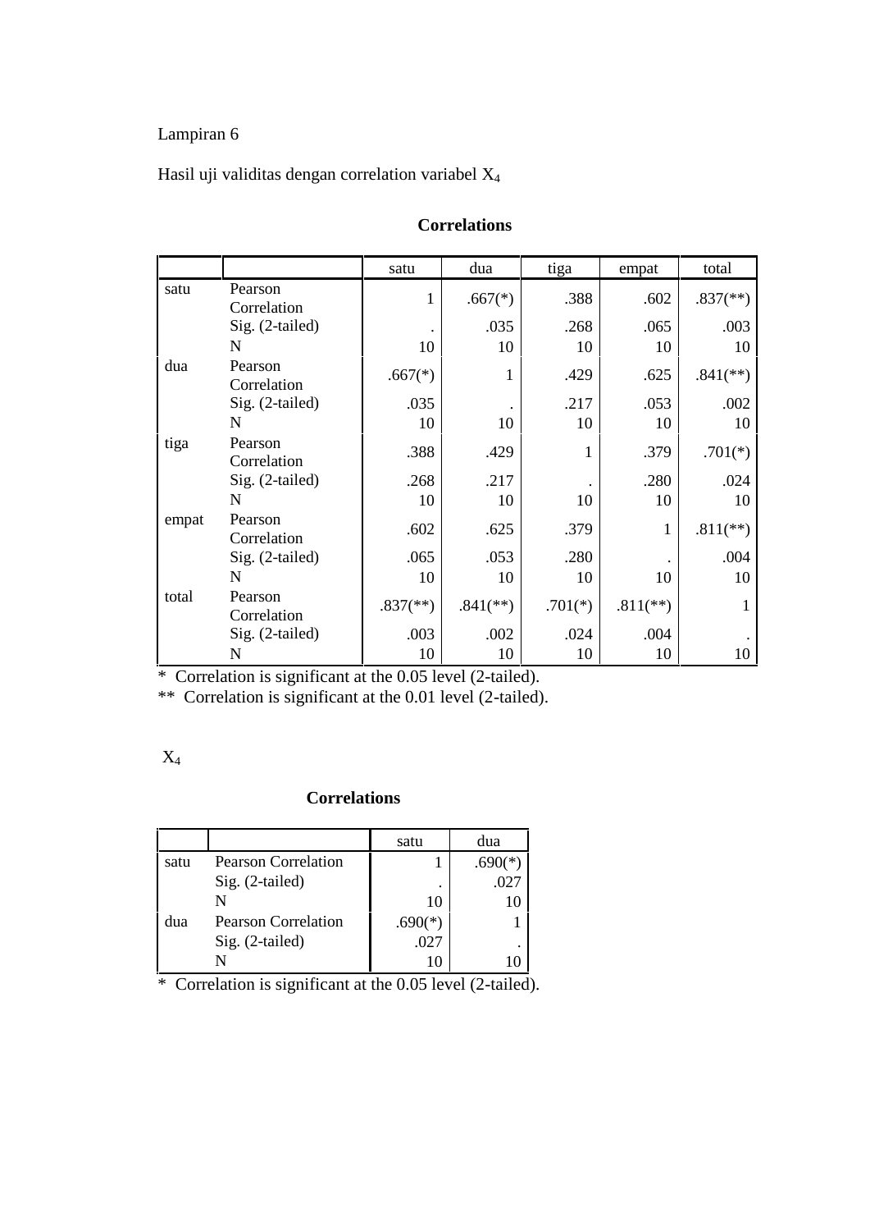#### Hasil uji validitas dengan correlation variabel X<sup>4</sup>

|       |                        | satu                     | dua                      | tiga      | empat        | total                    |
|-------|------------------------|--------------------------|--------------------------|-----------|--------------|--------------------------|
| satu  | Pearson<br>Correlation | 1                        | $.667(*)$                | .388      | .602         | $.837$ <sup>(**)</sup> ) |
|       | Sig. (2-tailed)        |                          | .035                     | .268      | .065         | .003                     |
|       | N                      | 10                       | 10                       | 10        | 10           | 10                       |
| dua   | Pearson<br>Correlation | $.667(*)$                | 1                        | .429      | .625         | $.841$ <sup>(**)</sup> ) |
|       | Sig. (2-tailed)        | .035                     |                          | .217      | .053         | .002                     |
|       | N                      | 10                       | 10                       | 10        | 10           | 10                       |
| tiga  | Pearson<br>Correlation | .388                     | .429                     | 1         | .379         | $.701(*)$                |
|       | Sig. (2-tailed)        | .268                     | .217                     |           | .280         | .024                     |
|       | N                      | 10                       | 10                       | 10        | 10           | 10                       |
| empat | Pearson<br>Correlation | .602                     | .625                     | .379      | $\mathbf{1}$ | $.811$ <sup>(**)</sup> ) |
|       | Sig. (2-tailed)        | .065                     | .053                     | .280      |              | .004                     |
|       | N                      | 10                       | 10                       | 10        | 10           | 10                       |
| total | Pearson<br>Correlation | $.837$ <sup>(**)</sup> ) | $.841$ <sup>(**)</sup> ) | $.701(*)$ | $.811$ (**)  | 1                        |
|       | Sig. (2-tailed)        | .003                     | .002                     | .024      | .004         |                          |
|       | N                      | 10                       | 10                       | 10        | 10           | 10                       |

#### **Correlations**

\* Correlation is significant at the 0.05 level (2-tailed).

\*\* Correlation is significant at the 0.01 level (2-tailed).

#### **Correlations**

|      |                            | satu      | dua  |
|------|----------------------------|-----------|------|
| satu | <b>Pearson Correlation</b> |           | າ∕*` |
|      | Sig. (2-tailed)            | ٠         | .02′ |
|      |                            | 10        |      |
| dua  | <b>Pearson Correlation</b> | $.690(*)$ |      |
|      | Sig. (2-tailed)            | .027      | ٠    |
|      |                            |           |      |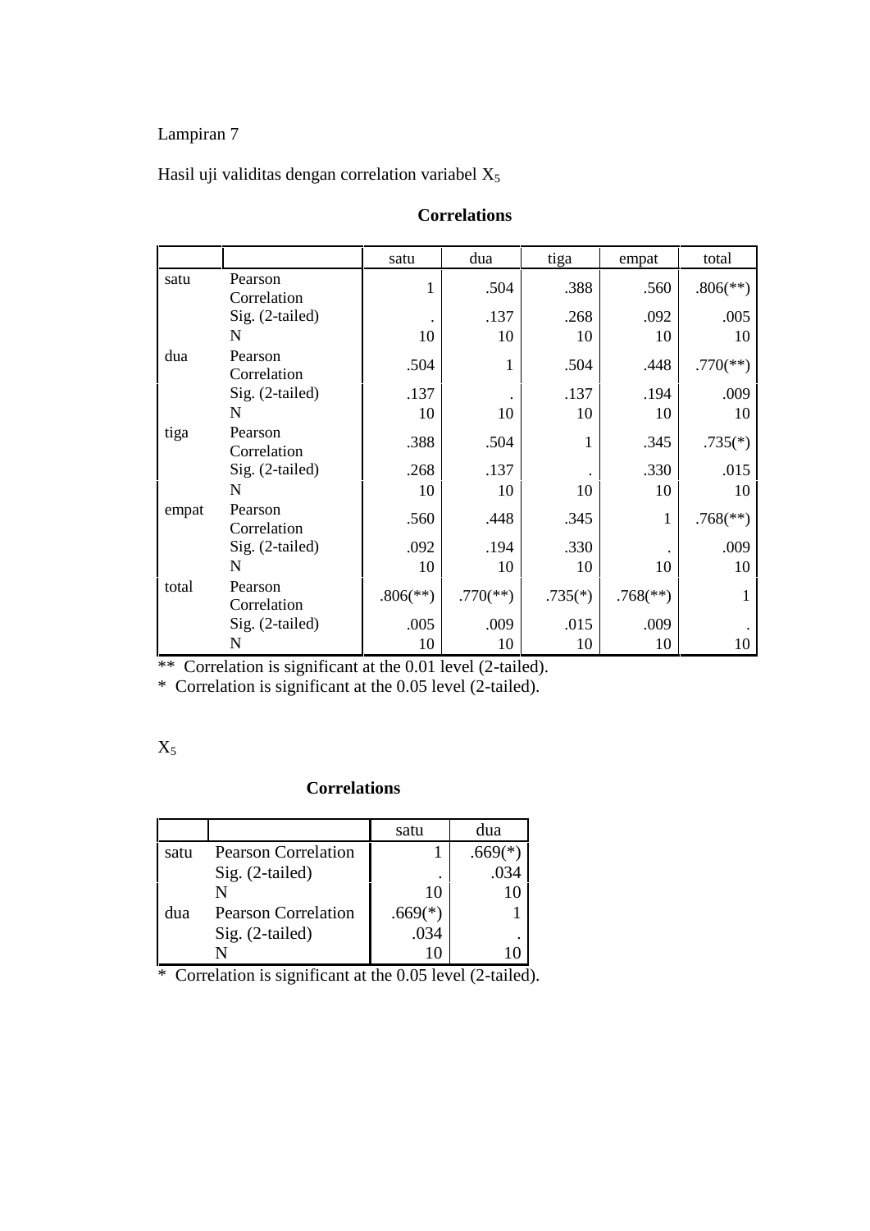Hasil uji validitas dengan correlation variabel  $X_5$ 

|       |                        | satu                     | dua                      | tiga      | empat                    | total                    |
|-------|------------------------|--------------------------|--------------------------|-----------|--------------------------|--------------------------|
| satu  | Pearson<br>Correlation | 1                        | .504                     | .388      | .560                     | $.806$ <sup>(**)</sup> ) |
|       | Sig. (2-tailed)        |                          | .137                     | .268      | .092                     | .005                     |
|       | N                      | 10                       | 10                       | 10        | 10                       | 10                       |
| dua   | Pearson<br>Correlation | .504                     | 1                        | .504      | .448                     | $.770$ <sup>(**)</sup> ) |
|       | Sig. (2-tailed)        | .137                     |                          | .137      | .194                     | .009                     |
|       | N                      | 10                       | 10                       | 10        | 10                       | 10                       |
| tiga  | Pearson<br>Correlation | .388                     | .504                     | 1         | .345                     | $.735(*)$                |
|       | Sig. (2-tailed)        | .268                     | .137                     |           | .330                     | .015                     |
|       | N                      | 10                       | 10                       | 10        | 10                       | 10                       |
| empat | Pearson<br>Correlation | .560                     | .448                     | .345      | $\mathbf{1}$             | $.768$ <sup>(**)</sup> ) |
|       | Sig. (2-tailed)        | .092                     | .194                     | .330      |                          | .009                     |
|       | N                      | 10                       | 10                       | 10        | 10                       | 10                       |
| total | Pearson<br>Correlation | $.806$ <sup>(**)</sup> ) | $.770$ <sup>(**)</sup> ) | $.735(*)$ | $.768$ <sup>(**)</sup> ) | 1                        |
|       | Sig. (2-tailed)        | .005                     | .009                     | .015      | .009                     |                          |
|       | N                      | 10                       | 10                       | 10        | 10                       | 10                       |

#### **Correlations**

\*\* Correlation is significant at the 0.01 level (2-tailed).

\* Correlation is significant at the 0.05 level (2-tailed).

## $X_5$

#### **Correlations**

|      |                            | satu      | dua  |
|------|----------------------------|-----------|------|
| satu | <b>Pearson Correlation</b> |           |      |
|      | Sig. (2-tailed)            |           | .034 |
|      |                            | 10        |      |
| dua  | <b>Pearson Correlation</b> | $.669(*)$ |      |
|      | Sig. (2-tailed)            | .034      |      |
|      |                            |           |      |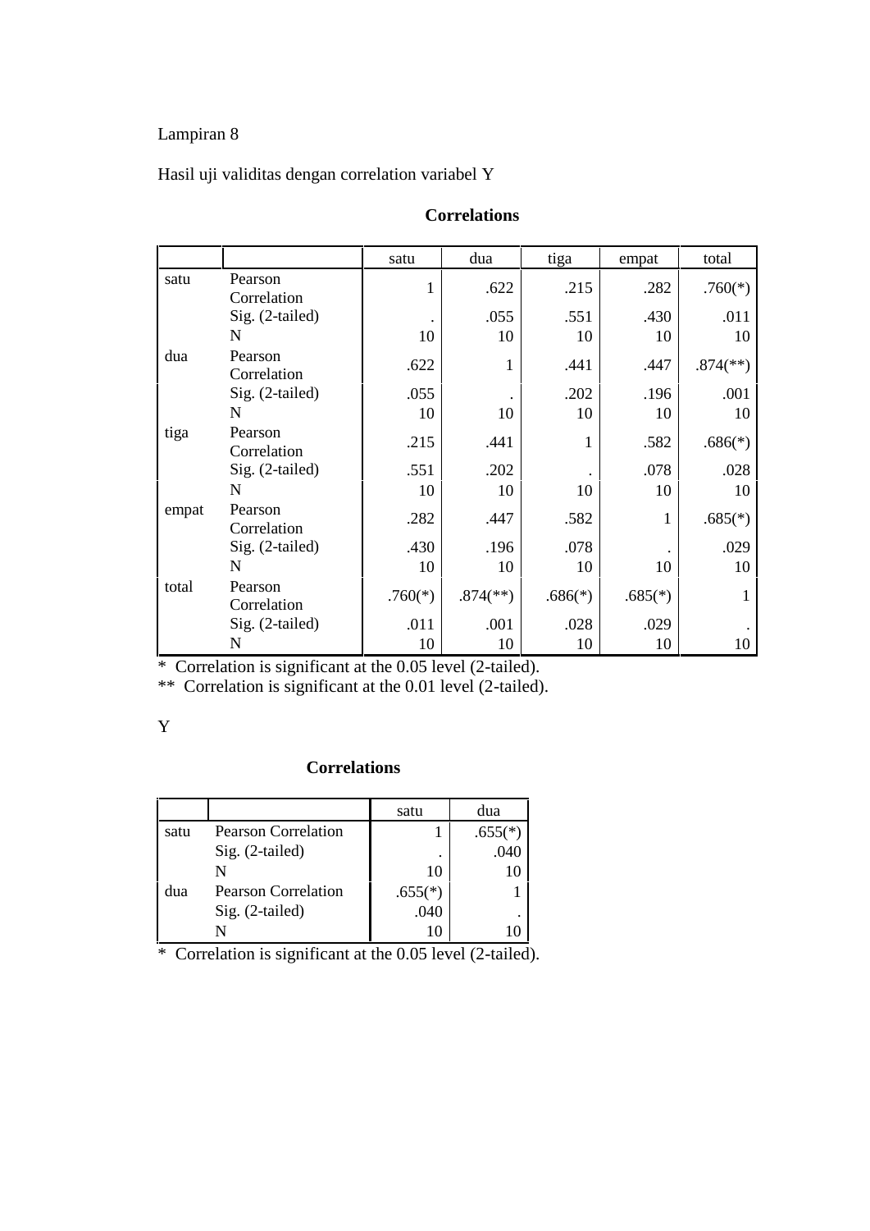# Hasil uji validitas dengan correlation variabel Y

|       |                        | satu      | dua                      | tiga      | empat     | total                    |
|-------|------------------------|-----------|--------------------------|-----------|-----------|--------------------------|
| satu  | Pearson<br>Correlation | T         | .622                     | .215      | .282      | $.760(*)$                |
|       | Sig. (2-tailed)        |           | .055                     | .551      | .430      | .011                     |
|       | N                      | 10        | 10                       | 10        | 10        | 10                       |
| dua   | Pearson<br>Correlation | .622      | 1                        | .441      | .447      | $.874$ <sup>(**)</sup> ) |
|       | Sig. (2-tailed)        | .055      |                          | .202      | .196      | .001                     |
|       | N                      | 10        | 10                       | 10        | 10        | 10                       |
| tiga  | Pearson<br>Correlation | .215      | .441                     | 1         | .582      | $.686(*)$                |
|       | Sig. (2-tailed)        | .551      | .202                     |           | .078      | .028                     |
|       | N                      | 10        | 10                       | 10        | 10        | 10                       |
| empat | Pearson<br>Correlation | .282      | .447                     | .582      | 1         | $.685(*)$                |
|       | Sig. (2-tailed)        | .430      | .196                     | .078      |           | .029                     |
|       | N                      | 10        | 10                       | 10        | 10        | 10                       |
| total | Pearson<br>Correlation | $.760(*)$ | $.874$ <sup>(**)</sup> ) | $.686(*)$ | $.685(*)$ | 1                        |
|       | Sig. (2-tailed)        | .011      | .001                     | .028      | .029      |                          |
|       | N                      | 10        | 10                       | 10        | 10        | 10                       |

#### **Correlations**

\* Correlation is significant at the 0.05 level (2-tailed).

\*\* Correlation is significant at the 0.01 level (2-tailed).

#### Y

#### **Correlations**

|      |                            | satu      | dua       |
|------|----------------------------|-----------|-----------|
| satu | <b>Pearson Correlation</b> |           | $.655(*)$ |
|      | Sig. (2-tailed)            | ٠         | .040      |
|      |                            | 10        |           |
| dua  | <b>Pearson Correlation</b> | $.655(*)$ |           |
|      | Sig. (2-tailed)            | .040      | ٠         |
|      |                            |           |           |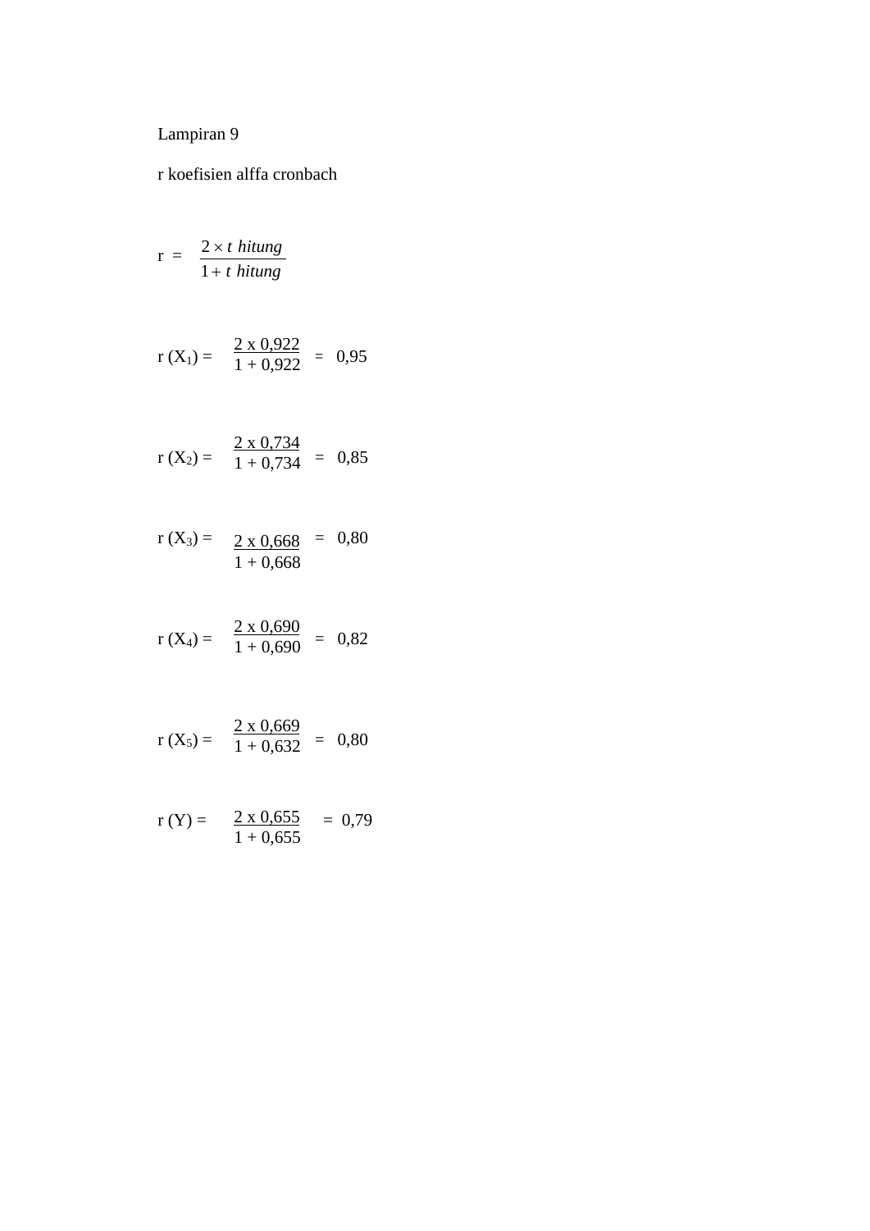r koefisien alffa cronbach

$$
r = \frac{2 \times t \text{ hitung}}{1 + t \text{ hitung}}
$$

$$
r(X_1) = \frac{2 \times 0.922}{1 + 0.922} = 0.95
$$

$$
r(X_2) = \frac{2 \times 0.734}{1 + 0.734} = 0.85
$$

$$
r(X_3) = \frac{2 \times 0.668}{1 + 0.668} = 0.80
$$

$$
r(X_4) = \frac{2 \times 0.690}{1 + 0.690} = 0.82
$$

$$
r(X_5) = \frac{2 \times 0.669}{1 + 0.632} = 0.80
$$

$$
r(Y) = \frac{2 \times 0.655}{1 + 0.655} = 0.79
$$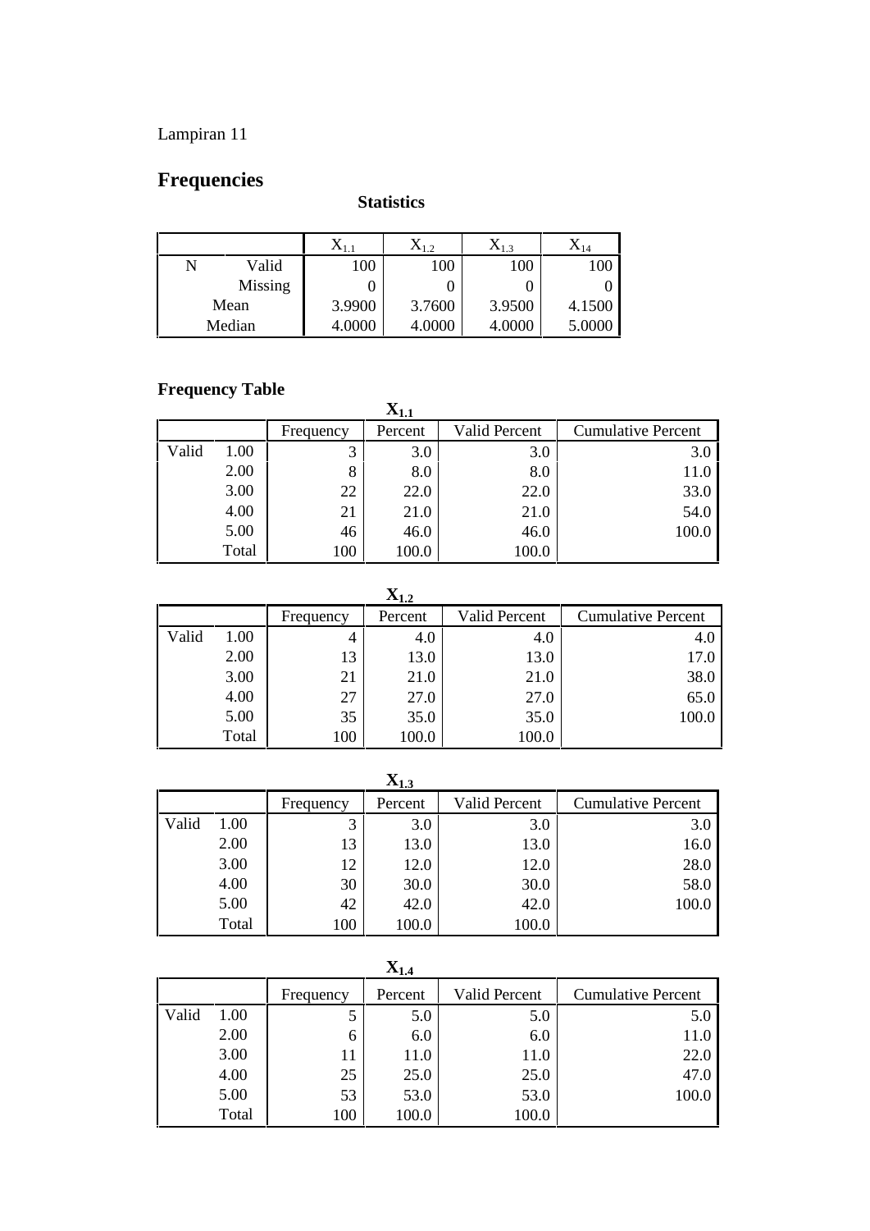# **Frequencies**

#### **Statistics**

|         | ∡\ 1 ÷ | $\mathbf{A}_{1,2}$ | $\Lambda_{1,3}$ | $\mathbf{\Lambda}_{14}$ |
|---------|--------|--------------------|-----------------|-------------------------|
| Valid   | 100    | 100                | 100             | 100                     |
| Missing |        |                    |                 |                         |
| Mean    | 3.9900 | 3.7600             | 3.9500          | 4.1500                  |
| Median  | 4.0000 | 4.0000             | 4.0000          | 5.0000                  |

#### **Frequency Table**

|       |       |           | $\mathbf{X_{1.1}}$ |               |                           |
|-------|-------|-----------|--------------------|---------------|---------------------------|
|       |       | Frequency | Percent            | Valid Percent | <b>Cumulative Percent</b> |
| Valid | 1.00  | 3         | 3.0                | 3.0           | 3.0                       |
|       | 2.00  | 8         | 8.0                | 8.0           | 11.0                      |
|       | 3.00  | 22        | 22.0               | 22.0          | 33.0                      |
|       | 4.00  | 21        | 21.0               | 21.0          | 54.0                      |
|       | 5.00  | 46        | 46.0               | 46.0          | 100.0                     |
|       | Total | 100       | 100.0              | 100.0         |                           |

**X1.2**

|       |       |           | $-1.4$  |               |                           |
|-------|-------|-----------|---------|---------------|---------------------------|
|       |       | Frequency | Percent | Valid Percent | <b>Cumulative Percent</b> |
| Valid | 1.00  | 4         | 4.0     | 4.0           | 4.0                       |
|       | 2.00  | 13        | 13.0    | 13.0          | 17.0                      |
|       | 3.00  | 21        | 21.0    | 21.0          | 38.0                      |
|       | 4.00  | 27        | 27.0    | 27.0          | 65.0                      |
|       | 5.00  | 35        | 35.0    | 35.0          | 100.0                     |
|       | Total | 100       | 100.0   | 100.0         |                           |

**X1.3** Frequency Percent | Valid Percent | Cumulative Percent Valid  $1.00$  3 3.0 3.0 3.0 3.0 2.00  $13$  13.0 13.0 13.0 16.0  $3.00$  12 12.0 12.0 28.0  $4.00$   $30$   $30.0$   $30.0$   $58.0$  $5.00$  42 42.0 42.0 42.0 400.0 Total 100 100.0 100.0

|       |       |           | $\mathbf{X}_{1.4}$ |                      |                           |
|-------|-------|-----------|--------------------|----------------------|---------------------------|
|       |       | Frequency | Percent            | <b>Valid Percent</b> | <b>Cumulative Percent</b> |
| Valid | 1.00  | 5         | 5.0                | 5.0                  | 5.0                       |
|       | 2.00  | 6         | 6.0                | 6.0                  | 11.0                      |
|       | 3.00  | 11        | 11.0               | 11.0                 | 22.0                      |
|       | 4.00  | 25        | 25.0               | 25.0                 | 47.0                      |
|       | 5.00  | 53        | 53.0               | 53.0                 | 100.0                     |
|       | Total | 100       | 100.0              | 100.0                |                           |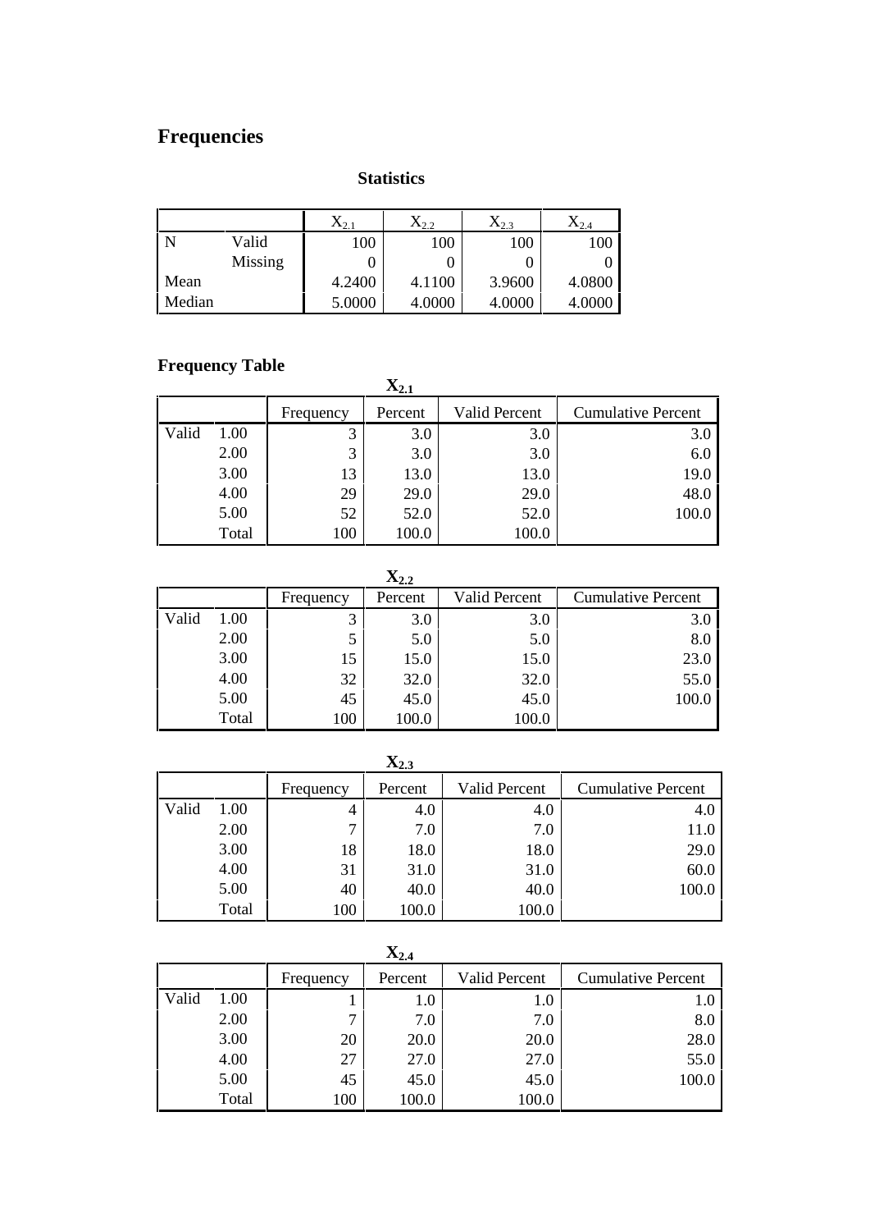#### **Statistics**

|        |         | v<br>$\Lambda_{2,1}$ | $\mathrm{X}_{2.2}$ | $X_{2.3}$ | $\mathrm{X}_{2.4}$ |
|--------|---------|----------------------|--------------------|-----------|--------------------|
|        | Valid   | 100                  | 100                | 100       | 100                |
|        | Missing |                      |                    |           |                    |
| Mean   |         | 4.2400               | 4.1100             | 3.9600    | 4.0800             |
| Median |         | 5.0000               | 4.0000             | 4.0000    | 4.0000             |

# **Frequency Table**

| $\mathbf{X_{2.1}}$ |       |           |         |               |                           |  |  |  |
|--------------------|-------|-----------|---------|---------------|---------------------------|--|--|--|
|                    |       | Frequency | Percent | Valid Percent | <b>Cumulative Percent</b> |  |  |  |
| Valid              | 1.00  | 3         | 3.0     | 3.0           | 3.0                       |  |  |  |
|                    | 2.00  | 3         | 3.0     | 3.0           | 6.0                       |  |  |  |
|                    | 3.00  | 13        | 13.0    | 13.0          | 19.0                      |  |  |  |
|                    | 4.00  | 29        | 29.0    | 29.0          | 48.0                      |  |  |  |
|                    | 5.00  | 52        | 52.0    | 52.0          | 100.0                     |  |  |  |
|                    | Total | 100       | 100.0   | 100.0         |                           |  |  |  |

 $\begin{array}{c|c}\n\mathbf{X}_{2,2} \\
\hline\n\text{Percent} & \text{Valid Percent}\n\end{array}$ Frequency Percent | Valid Percent | Cumulative Percent Valid  $1.00$  3 3.0 3.0 3.0 3.0 2.00  $5 \mid 5.0 \mid 5.0 \mid 8.0 \mid$  $3.00$  15 15.0 15.0 23.0 4.00  $32 \mid 32.0 \mid 32.0 \mid 55.0 \mid$  $5.00$  45 45.0 45.0 45.0  $100.0$ Total 100 100.0 100.0

#### **X2.3**

|       |       | Frequency | Percent | Valid Percent | <b>Cumulative Percent</b> |
|-------|-------|-----------|---------|---------------|---------------------------|
| Valid | 1.00  | 4         | 4.0     | 4.0           | 4.0                       |
|       | 2.00  | ⇁         | 7.0     | 7.0           | 11.0                      |
|       | 3.00  | 18        | 18.0    | 18.0          | 29.0                      |
|       | 4.00  | 31        | 31.0    | 31.0          | 60.0                      |
|       | 5.00  | 40        | 40.0    | 40.0          | 100.0                     |
|       | Total | 100       | 100.0   | 100.0         |                           |

|       |       |           | $X_{2.4}$ |                      |                           |
|-------|-------|-----------|-----------|----------------------|---------------------------|
|       |       | Frequency | Percent   | <b>Valid Percent</b> | <b>Cumulative Percent</b> |
| Valid | 1.00  |           | $1.0\,$   | 1.0                  | $1.0\,$                   |
|       | 2.00  | ⇁         | 7.0       | 7.0                  | 8.0                       |
|       | 3.00  | 20        | 20.0      | 20.0                 | 28.0                      |
|       | 4.00  | 27        | 27.0      | 27.0                 | 55.0                      |
|       | 5.00  | 45        | 45.0      | 45.0                 | 100.0                     |
|       | Total | 100       | 100.0     | 100.0                |                           |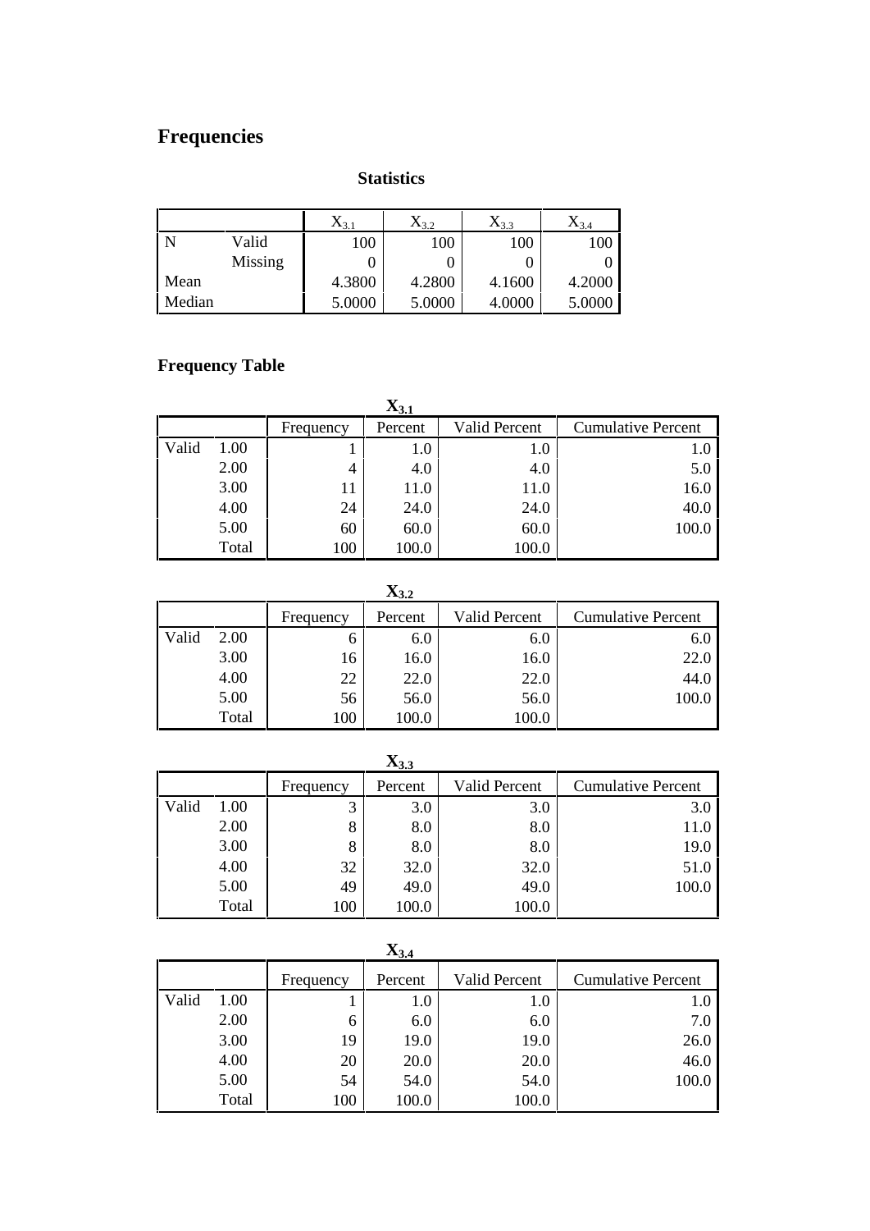#### **Statistics**

|        |         | $\Lambda_{3,1}$ | $X_{3.2}$ | $X_{3.3}$ | $X_{3,4}$ |
|--------|---------|-----------------|-----------|-----------|-----------|
|        | Valid   | 100             | 100       | 100       | 100       |
|        | Missing |                 |           |           |           |
| Mean   |         | 4.3800          | 4.2800    | 4.1600    | 4.2000    |
| Median |         | 5.0000          | 5.0000    | 4.0000    | 5.0000    |

# **Frequency Table**

|       | $\mathbf{X_{3.1}}$ |           |         |               |                           |  |  |  |  |  |
|-------|--------------------|-----------|---------|---------------|---------------------------|--|--|--|--|--|
|       |                    | Frequency | Percent | Valid Percent | <b>Cumulative Percent</b> |  |  |  |  |  |
| Valid | 1.00               |           | 1.0     | $1.0\,$       | 1.0                       |  |  |  |  |  |
|       | 2.00               | 4         | 4.0     | 4.0           | 5.0                       |  |  |  |  |  |
|       | 3.00               |           | 11.0    | 11.0          | 16.0                      |  |  |  |  |  |
|       | 4.00               | 24        | 24.0    | 24.0          | 40.0                      |  |  |  |  |  |
|       | 5.00               | 60        | 60.0    | 60.0          | 100.0                     |  |  |  |  |  |
|       | Total              | 100       | 100.0   | 100.0         |                           |  |  |  |  |  |

**X3.2**

|       |       |           | ◡       |               |                           |
|-------|-------|-----------|---------|---------------|---------------------------|
|       |       | Frequency | Percent | Valid Percent | <b>Cumulative Percent</b> |
| Valid | 2.00  | O         | 6.0     | 6.0           | 6.0                       |
|       | 3.00  | 16        | 16.0    | 16.0          | 22.0                      |
|       | 4.00  | 22        | 22.0    | 22.0          | 44.0                      |
|       | 5.00  | 56        | 56.0    | 56.0          | 100.0                     |
|       | Total | 100       | 100.0   | 100.0         |                           |

**X3.3**

|       |       |           | $-0.5$  |                      |                           |
|-------|-------|-----------|---------|----------------------|---------------------------|
|       |       | Frequency | Percent | <b>Valid Percent</b> | <b>Cumulative Percent</b> |
| Valid | 1.00  | 3         | 3.0     | 3.0                  | 3.0                       |
|       | 2.00  | 8         | 8.0     | 8.0                  | 11.0                      |
|       | 3.00  | 8         | 8.0     | 8.0                  | 19.0                      |
|       | 4.00  | 32        | 32.0    | 32.0                 | 51.0                      |
|       | 5.00  | 49        | 49.0    | 49.0                 | 100.0                     |
|       | Total | 100       | 100.0   | 100.0                |                           |

|       | $\mathbf{A}_{3,4}$ |           |         |               |                           |  |  |  |  |  |
|-------|--------------------|-----------|---------|---------------|---------------------------|--|--|--|--|--|
|       |                    | Frequency | Percent | Valid Percent | <b>Cumulative Percent</b> |  |  |  |  |  |
| Valid | 1.00               |           | 1.0     | 1.0           | 1.0                       |  |  |  |  |  |
|       | 2.00               | 6         | 6.0     | 6.0           | 7.0                       |  |  |  |  |  |
|       | 3.00               | 19        | 19.0    | 19.0          | 26.0                      |  |  |  |  |  |
|       | 4.00               | 20        | 20.0    | 20.0          | 46.0                      |  |  |  |  |  |
|       | 5.00               | 54        | 54.0    | 54.0          | 100.0                     |  |  |  |  |  |
|       | Total              | 100       | 100.0   | 100.0         |                           |  |  |  |  |  |

**X3.4**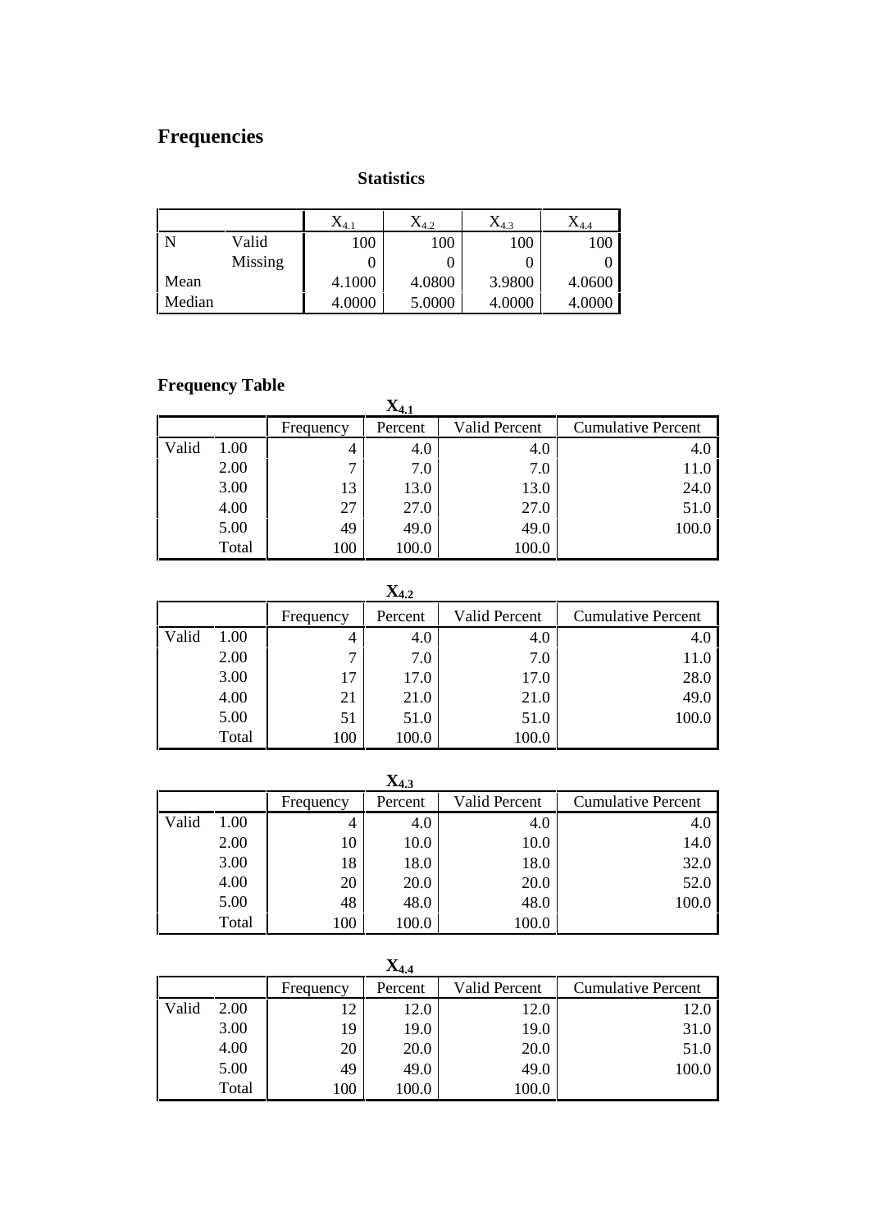#### **Statistics**

|                |         | $\Lambda$ 4.1 | $\mathrm{X}_{4.2}$ | $\Lambda_{4,3}$ | $\mathbf{A}_{4,4}$ |
|----------------|---------|---------------|--------------------|-----------------|--------------------|
| $\overline{N}$ | Valid   | 100           | 100                | 100             | 100                |
|                | Missing |               |                    |                 |                    |
| Mean           |         | 4.1000        | 4.0800             | 3.9800          | 4.0600             |
| Median         |         | 4.0000        | 5.0000             | 4.0000          | 4.0000             |

# **Frequency Table**

| -     |       | $\mathbf{X}_{4.1}$ |         |                      |                           |  |  |  |  |
|-------|-------|--------------------|---------|----------------------|---------------------------|--|--|--|--|
|       |       | Frequency          | Percent | <b>Valid Percent</b> | <b>Cumulative Percent</b> |  |  |  |  |
| Valid | 1.00  | 4                  | 4.0     | 4.0                  | 4.0                       |  |  |  |  |
|       | 2.00  | ⇁                  | 7.0     | 7.0                  | 11.0                      |  |  |  |  |
|       | 3.00  | 13                 | 13.0    | 13.0                 | 24.0                      |  |  |  |  |
|       | 4.00  | 27                 | 27.0    | 27.0                 | 51.0                      |  |  |  |  |
|       | 5.00  | 49                 | 49.0    | 49.0                 | 100.0                     |  |  |  |  |
|       | Total | 100                | 100.0   | 100.0                |                           |  |  |  |  |

**X4.2**

|       |       |           | ---     |                      |                           |
|-------|-------|-----------|---------|----------------------|---------------------------|
|       |       | Frequency | Percent | <b>Valid Percent</b> | <b>Cumulative Percent</b> |
| Valid | 1.00  | 4         | 4.0     | 4.0                  | 4.0                       |
|       | 2.00  | 7         | 7.0     | 7.0                  | 11.0                      |
|       | 3.00  | 17        | 17.0    | 17.0                 | 28.0                      |
|       | 4.00  | 21        | 21.0    | 21.0                 | 49.0                      |
|       | 5.00  | 51        | 51.0    | 51.0                 | 100.0                     |
|       | Total | 100       | 100.0   | 100.0                |                           |

|       | $X_{4.3}$ |           |         |                      |                           |  |  |  |  |  |
|-------|-----------|-----------|---------|----------------------|---------------------------|--|--|--|--|--|
|       |           | Frequency | Percent | <b>Valid Percent</b> | <b>Cumulative Percent</b> |  |  |  |  |  |
| Valid | 1.00      | 4         | 4.0     | 4.0                  | 4.0                       |  |  |  |  |  |
|       | 2.00      | 10        | 10.0    | 10.0                 | 14.0                      |  |  |  |  |  |
|       | 3.00      | 18        | 18.0    | 18.0                 | 32.0                      |  |  |  |  |  |
|       | 4.00      | 20        | 20.0    | 20.0                 | 52.0                      |  |  |  |  |  |
|       | 5.00      | 48        | 48.0    | 48.0                 | 100.0                     |  |  |  |  |  |
|       | Total     | 100       | 100.0   | 100.0                |                           |  |  |  |  |  |

| $X_{4,4}$ |       |           |         |               |                           |  |  |  |  |
|-----------|-------|-----------|---------|---------------|---------------------------|--|--|--|--|
|           |       | Frequency | Percent | Valid Percent | <b>Cumulative Percent</b> |  |  |  |  |
| Valid     | 2.00  | 12        | 12.0    | 12.0          | 12.0                      |  |  |  |  |
|           | 3.00  | 19        | 19.0    | 19.0          | 31.0                      |  |  |  |  |
|           | 4.00  | 20        | 20.0    | 20.0          | 51.0                      |  |  |  |  |
|           | 5.00  | 49        | 49.0    | 49.0          | 100.0                     |  |  |  |  |
|           | Total | 100       | 100.0   | 100.0         |                           |  |  |  |  |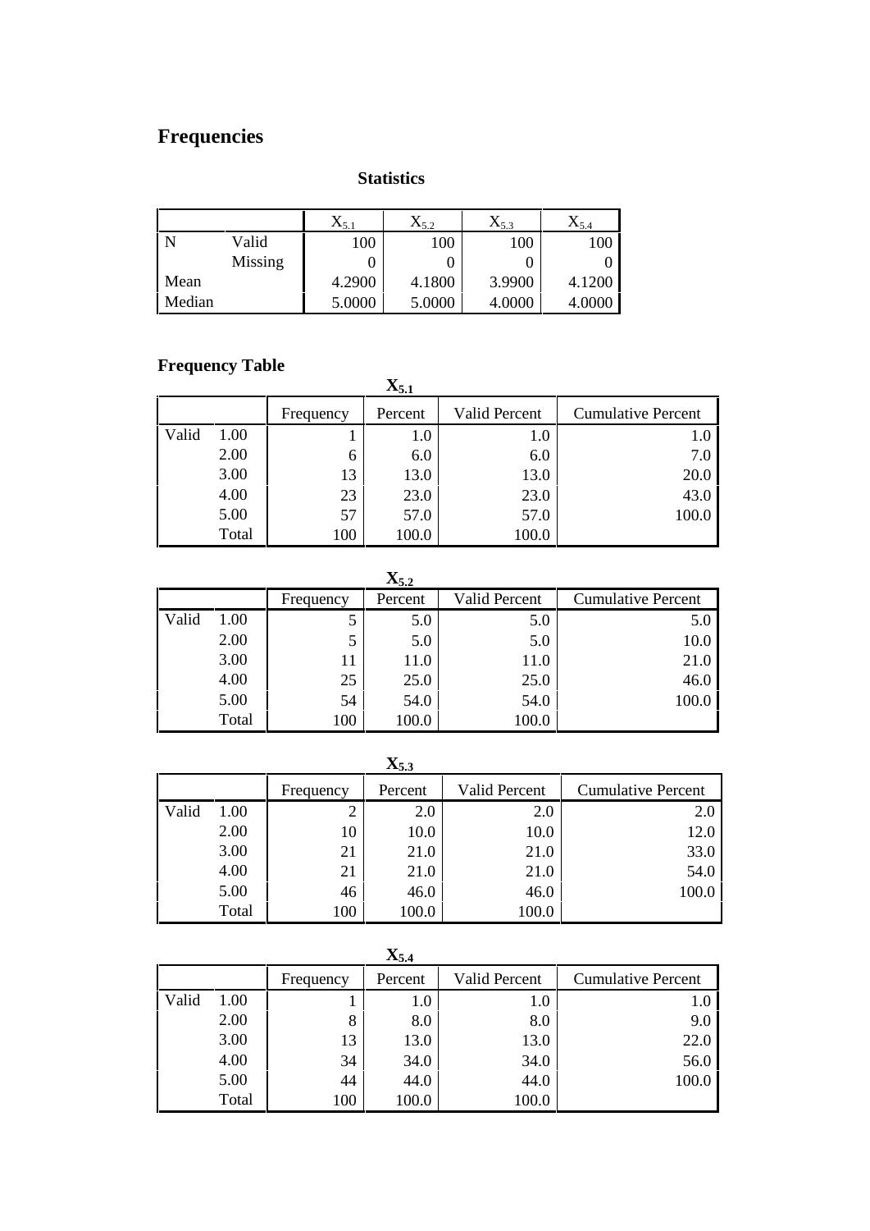#### **Statistics**

|        |         | $\Lambda$ <sub>5.1</sub> | $\mathrm{X}_{5.2}$ | $X_{5.3}$ | $X_{5,4}$ |
|--------|---------|--------------------------|--------------------|-----------|-----------|
|        | Valid   | 100                      | 100                | 100       | 100       |
|        | Missing |                          |                    |           |           |
| Mean   |         | 4.2900                   | 4.1800             | 3.9900    | 4.1200    |
| Median |         | 5.0000                   | 5.0000             | 4.0000    | 4.0000    |

# **Frequency Table**

| – – – – – – – – – – <i>J</i><br>$\mathbf{X}_{5.1}$ |       |           |         |                      |                           |  |  |  |
|----------------------------------------------------|-------|-----------|---------|----------------------|---------------------------|--|--|--|
|                                                    |       | Frequency | Percent | <b>Valid Percent</b> | <b>Cumulative Percent</b> |  |  |  |
| Valid                                              | 1.00  |           | 1.0     | 1.0                  | 1.0                       |  |  |  |
|                                                    | 2.00  | 6         | 6.0     | 6.0                  | 7.0                       |  |  |  |
|                                                    | 3.00  | 13        | 13.0    | 13.0                 | 20.0                      |  |  |  |
|                                                    | 4.00  | 23        | 23.0    | 23.0                 | 43.0                      |  |  |  |
|                                                    | 5.00  | 57        | 57.0    | 57.0                 | 100.0                     |  |  |  |
|                                                    | Total | 100       | 100.0   | 100.0                |                           |  |  |  |

|       | $\mathbf{X}_{5.2}$ |           |         |                      |                           |  |  |  |  |  |
|-------|--------------------|-----------|---------|----------------------|---------------------------|--|--|--|--|--|
|       |                    | Frequency | Percent | <b>Valid Percent</b> | <b>Cumulative Percent</b> |  |  |  |  |  |
| Valid | 1.00               |           | 5.0     | 5.0                  | 5.0                       |  |  |  |  |  |
|       | 2.00               |           | 5.0     | 5.0                  | 10.0                      |  |  |  |  |  |
|       | 3.00               | 11        | 11.0    | 11.0                 | 21.0                      |  |  |  |  |  |
|       | 4.00               | 25        | 25.0    | 25.0                 | 46.0                      |  |  |  |  |  |
|       | 5.00               | 54        | 54.0    | 54.0                 | 100.0                     |  |  |  |  |  |
|       | Total              | 100       | 100.0   | 100.0                |                           |  |  |  |  |  |

|       | $\mathbf{X}_{5,3}$ |           |         |                      |                           |  |  |  |  |  |
|-------|--------------------|-----------|---------|----------------------|---------------------------|--|--|--|--|--|
|       |                    | Frequency | Percent | <b>Valid Percent</b> | <b>Cumulative Percent</b> |  |  |  |  |  |
| Valid | 1.00               | ∠         | 2.0     | 2.0                  | 2.0                       |  |  |  |  |  |
|       | 2.00               | 10        | 10.0    | 10.0                 | 12.0                      |  |  |  |  |  |
|       | 3.00               | 21        | 21.0    | 21.0                 | 33.0                      |  |  |  |  |  |
|       | 4.00               | 21        | 21.0    | 21.0                 | 54.0                      |  |  |  |  |  |
|       | 5.00               | 46        | 46.0    | 46.0                 | 100.0                     |  |  |  |  |  |
|       | Total              | 100       | 100.0   | 100.0                |                           |  |  |  |  |  |

|       | $\mathbf{X}_{5.4}$ |           |         |               |                           |  |  |  |  |  |  |  |
|-------|--------------------|-----------|---------|---------------|---------------------------|--|--|--|--|--|--|--|
|       |                    | Frequency | Percent | Valid Percent | <b>Cumulative Percent</b> |  |  |  |  |  |  |  |
| Valid | 1.00               |           | 1.0     | 1.0           | 1.0                       |  |  |  |  |  |  |  |
|       | 2.00               | 8         | 8.0     | 8.0           | 9.0                       |  |  |  |  |  |  |  |
|       | 3.00               | 13        | 13.0    | 13.0          | 22.0                      |  |  |  |  |  |  |  |
|       | 4.00               | 34        | 34.0    | 34.0          | 56.0                      |  |  |  |  |  |  |  |
|       | 5.00               | 44        | 44.0    | 44.0          | 100.0                     |  |  |  |  |  |  |  |
|       | Total              | 100       | 100.0   | 100.0         |                           |  |  |  |  |  |  |  |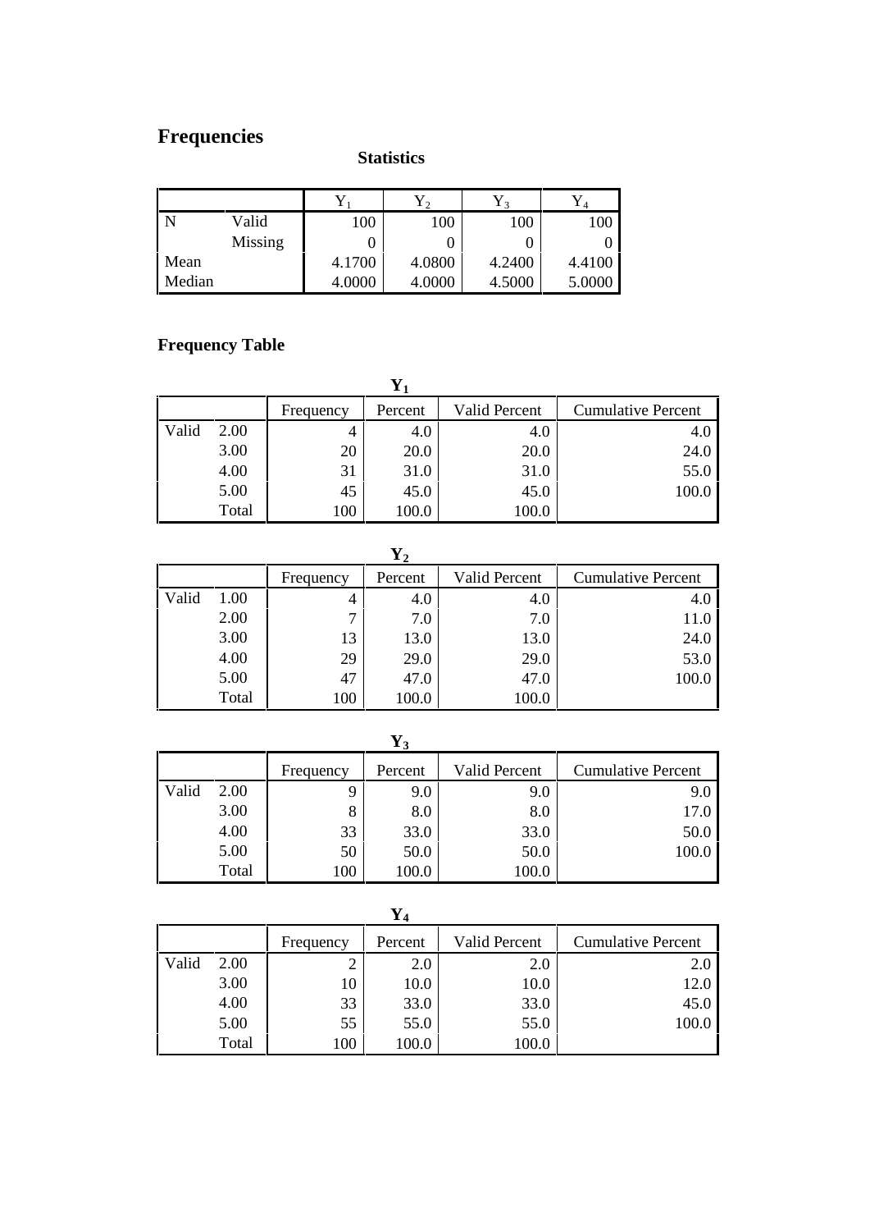## **Statistics**

|        |         |        | 1 2    | $\mathbf{1}$ 3 | 14     |
|--------|---------|--------|--------|----------------|--------|
|        | Valid   | 100    | 100    | 100            | 100    |
|        | Missing |        |        |                |        |
| Mean   |         | 4.1700 | 4.0800 | 4.2400         | 4.4100 |
| Median |         | 4.0000 | 4.0000 | 4.5000         | 5.0000 |

# **Frequency Table**

|       |       | Frequency | Percent | Valid Percent | <b>Cumulative Percent</b> |  |  |  |  |  |  |  |
|-------|-------|-----------|---------|---------------|---------------------------|--|--|--|--|--|--|--|
| Valid | 2.00  | 4         | 4.0     | 4.0           | 4.0                       |  |  |  |  |  |  |  |
|       | 3.00  | 20        | 20.0    | 20.0          | 24.0                      |  |  |  |  |  |  |  |
|       | 4.00  | 31        | 31.0    | 31.0          | 55.0                      |  |  |  |  |  |  |  |
|       | 5.00  | 45        | 45.0    | 45.0          | 100.0                     |  |  |  |  |  |  |  |
|       | Total | 100       | 100.0   | 100.0         |                           |  |  |  |  |  |  |  |

| ency | Percent | Valid Perc |
|------|---------|------------|
|      | 4.0     |            |
|      |         |            |

|       |       | Frequency | Percent | Valid Percent | <b>Cumulative Percent</b> |  |
|-------|-------|-----------|---------|---------------|---------------------------|--|
| Valid | 1.00  |           | 4.0     | 4.0           | 4.0                       |  |
|       | 2.00  | ⇁         | 7.0     | 7.0           | 11.0                      |  |
|       | 3.00  | 13        | 13.0    | 13.0          | 24.0                      |  |
|       | 4.00  | 29        | 29.0    | 29.0          | 53.0                      |  |
|       | 5.00  | 47        | 47.0    | 47.0          | 100.0                     |  |
|       | Total | 100       | 100.0   | 100.0         |                           |  |

|       | $\mathbf{1}3$ |           |         |               |                           |  |  |  |  |  |  |  |
|-------|---------------|-----------|---------|---------------|---------------------------|--|--|--|--|--|--|--|
|       |               | Frequency | Percent | Valid Percent | <b>Cumulative Percent</b> |  |  |  |  |  |  |  |
| Valid | 2.00          | 9         | 9.0     | 9.0           | 9.0                       |  |  |  |  |  |  |  |
|       | 3.00          | 8         | 8.0     | 8.0           | 17.0                      |  |  |  |  |  |  |  |
|       | 4.00          | 33        | 33.0    | 33.0          | 50.0                      |  |  |  |  |  |  |  |
|       | 5.00          | 50        | 50.0    | 50.0          | 100.0                     |  |  |  |  |  |  |  |
|       | Total         | 100       | 100.0   | 100.0         |                           |  |  |  |  |  |  |  |

|       | $\mathbf{Y}_4$ |           |         |               |                           |  |  |  |  |  |  |  |
|-------|----------------|-----------|---------|---------------|---------------------------|--|--|--|--|--|--|--|
|       |                | Frequency | Percent | Valid Percent | <b>Cumulative Percent</b> |  |  |  |  |  |  |  |
| Valid | 2.00           | ◠         | 2.0     | 2.0           | 2.0                       |  |  |  |  |  |  |  |
|       | 3.00           | 10        | 10.0    | 10.0          | 12.0                      |  |  |  |  |  |  |  |
|       | 4.00           | 33        | 33.0    | 33.0          | 45.0                      |  |  |  |  |  |  |  |
|       | 5.00           | 55        | 55.0    | 55.0          | 100.0                     |  |  |  |  |  |  |  |
|       | Total          | 100       | 100.0   | 100.0         |                           |  |  |  |  |  |  |  |

**Y<sup>3</sup>**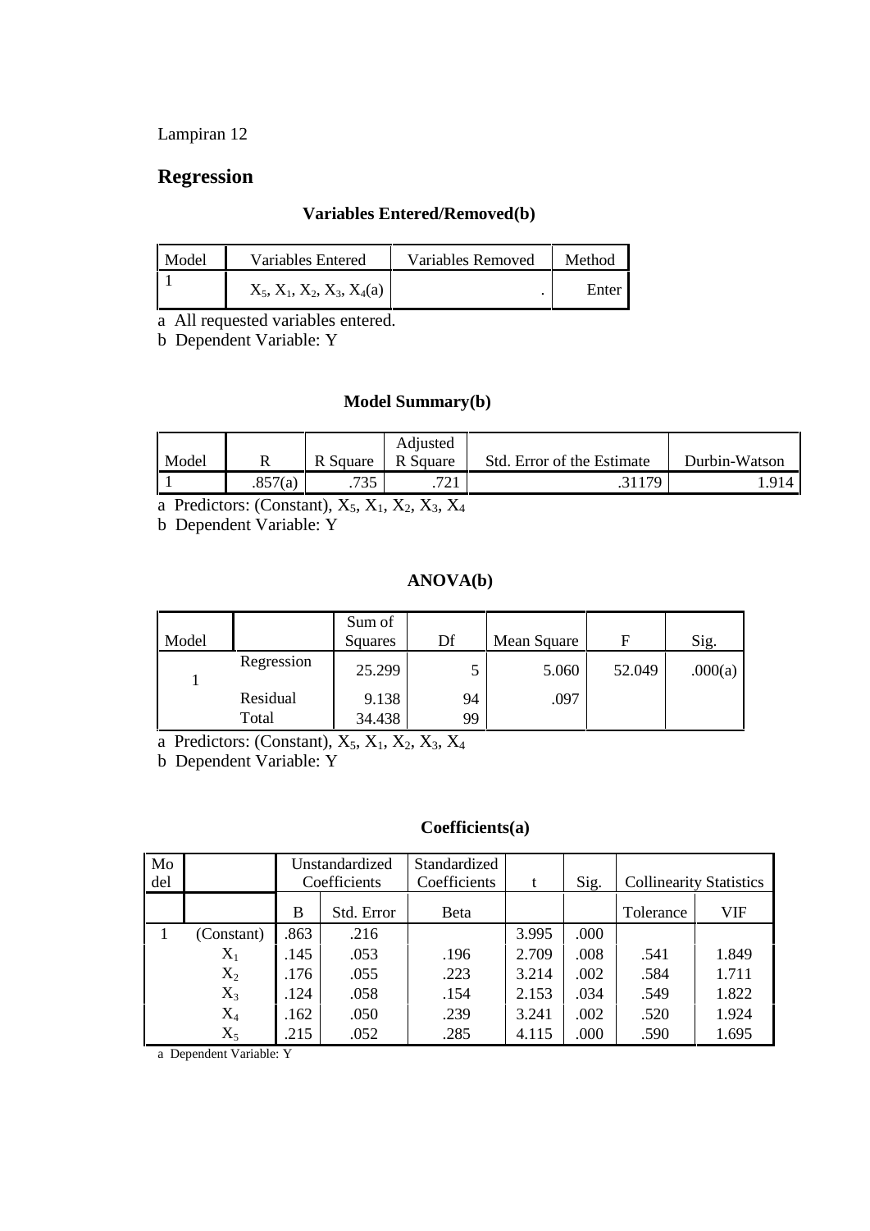# **Regression**

#### **Variables Entered/Removed(b)**

| Model | Variables Entered            | Variables Removed | Method |
|-------|------------------------------|-------------------|--------|
|       | $X_5, X_1, X_2, X_3, X_4(a)$ |                   | Enter  |

a All requested variables entered.

b Dependent Variable: Y

#### **Model Summary(b)**

| Model |         | R Square   | Adjusted<br>$R_{\Lambda}$<br>Square | Std. Error of the Estimate | Durbin-Watson |
|-------|---------|------------|-------------------------------------|----------------------------|---------------|
|       |         |            |                                     |                            |               |
|       | .857(a) | ワウド<br>ں ر | 701<br>$\cdot$ / $\angle$ 1         | 21170                      | .914          |

a Predictors: (Constant),  $X_5$ ,  $X_1$ ,  $X_2$ ,  $X_3$ ,  $X_4$ 

b Dependent Variable: Y

#### **ANOVA(b)**

| Model |            | Sum of<br>Squares | Df | Mean Square |        | Sig.    |
|-------|------------|-------------------|----|-------------|--------|---------|
|       | Regression | 25.299            |    | 5.060       | 52.049 | .000(a) |
|       | Residual   | 9.138             | 94 | .097        |        |         |
|       | Total      | 34.438            | 99 |             |        |         |

a Predictors: (Constant),  $X_5$ ,  $X_1$ ,  $X_2$ ,  $X_3$ ,  $X_4$ 

b Dependent Variable: Y

#### **Coefficients(a)**

| Mo<br>del |                | Unstandardized<br>Coefficients |            | Standardized<br>Coefficients | t     | Sig. |           | <b>Collinearity Statistics</b> |
|-----------|----------------|--------------------------------|------------|------------------------------|-------|------|-----------|--------------------------------|
|           |                | B                              | Std. Error | <b>B</b> eta                 |       |      | Tolerance | VIF                            |
|           | (Constant)     | .863                           | .216       |                              | 3.995 | .000 |           |                                |
|           | $X_1$          | .145                           | .053       | .196                         | 2.709 | .008 | .541      | 1.849                          |
|           | $\mathrm{X}_2$ | .176                           | .055       | .223                         | 3.214 | .002 | .584      | 1.711                          |
|           | $X_3$          | .124                           | .058       | .154                         | 2.153 | .034 | .549      | 1.822                          |
|           | $\rm X_4$      | .162                           | .050       | .239                         | 3.241 | .002 | .520      | 1.924                          |
|           | $X_5$          | .215                           | .052       | .285                         | 4.115 | .000 | .590      | 1.695                          |

a Dependent Variable: Y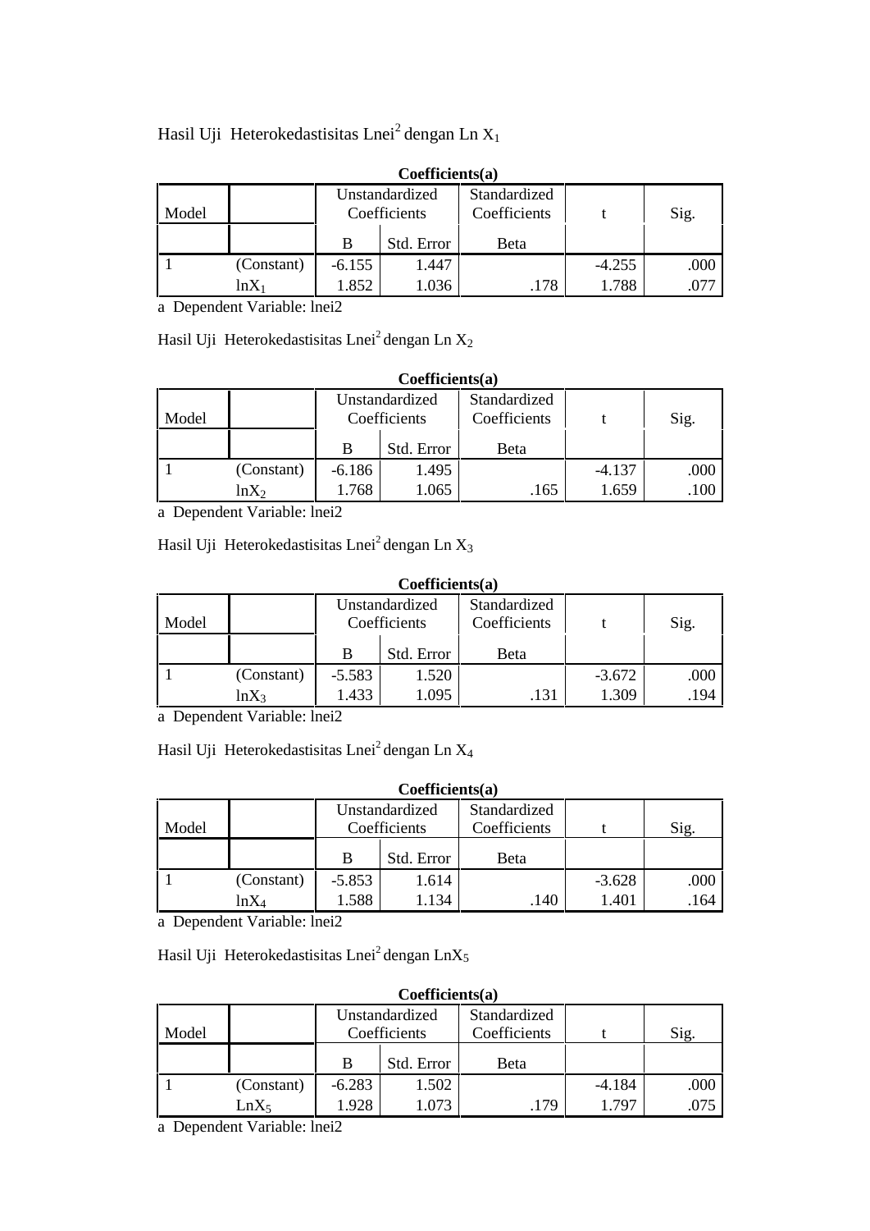## Hasil Uji Heterokedastisitas Lnei<sup>2</sup> dengan Ln X<sub>1</sub>

| $C$ <sub>U</sub> CHICICIUS $(a)$ |            |                                |            |                              |          |      |  |  |  |  |  |
|----------------------------------|------------|--------------------------------|------------|------------------------------|----------|------|--|--|--|--|--|
| Model                            |            | Unstandardized<br>Coefficients |            | Standardized<br>Coefficients |          | Sig. |  |  |  |  |  |
|                                  |            |                                | Std. Error | Beta                         |          |      |  |  |  |  |  |
|                                  | (Constant) | $-6.155$                       | 1.447      |                              | $-4.255$ | .000 |  |  |  |  |  |
|                                  | lnX        | 1.852                          | 1.036      | .178                         | 1.788    | .077 |  |  |  |  |  |

#### **Coefficients(a)**

a Dependent Variable: lnei2

Hasil Uji Heterokedastisitas Lnei<sup>2</sup> dengan Ln  $X_2$ 

| Coefficient(a) |  |
|----------------|--|
|----------------|--|

| Model |            | Unstandardized<br>Coefficients |       | Standardized<br>Coefficients |          | Sig. |
|-------|------------|--------------------------------|-------|------------------------------|----------|------|
|       |            | Std. Error<br>в                |       | Beta                         |          |      |
|       | (Constant) | $-6.186$                       | 1.495 |                              | $-4.137$ | .000 |
|       | $lnX_2$    | 1.065<br>.768                  |       | 165                          | .659     | .100 |

a Dependent Variable: lnei2

Hasil Uji Heterokedastisitas Lnei<sup>2</sup> dengan Ln  $X_3$ 

#### **Coefficients(a)**

| Model |            | Unstandardized<br>Coefficients |       | Standardized<br>Coefficients |          | Sig. |  |
|-------|------------|--------------------------------|-------|------------------------------|----------|------|--|
|       |            | Std. Error                     |       | Beta                         |          |      |  |
|       | (Constant) | 1.520<br>$-5.583$              |       |                              | $-3.672$ | .000 |  |
|       | $ln X_3$   | .433                           | 1.095 | .131                         | .309     | .194 |  |

a Dependent Variable: lnei2

Hasil Uji Heterokedastisitas Lnei<sup>2</sup> dengan Ln X<sub>4</sub>

#### **Coefficients(a)**

| Model |            |            | Unstandardized<br>Coefficients | Standardized<br>Coefficients |          | Sig. |
|-------|------------|------------|--------------------------------|------------------------------|----------|------|
|       |            | Std. Error |                                | Beta                         |          |      |
|       | (Constant) | $-5.853$   | 1.614                          |                              | $-3.628$ | .000 |
|       | $lnX_4$    | .588       | .134                           | .140                         | 1.401    | .164 |

a Dependent Variable: lnei2

Hasil Uji Heterokedastisitas Lnei<sup>2</sup> dengan LnX<sub>5</sub>

| Coefficient(a)                                                                  |                  |                 |       |      |          |      |  |  |  |
|---------------------------------------------------------------------------------|------------------|-----------------|-------|------|----------|------|--|--|--|
| Standardized<br>Unstandardized<br>Coefficients<br>Coefficients<br>Sig.<br>Model |                  |                 |       |      |          |      |  |  |  |
|                                                                                 |                  | Std. Error<br>B |       | Beta |          |      |  |  |  |
|                                                                                 | (Constant)       | $-6.283$        | 1.502 |      | $-4.184$ | .000 |  |  |  |
|                                                                                 | LnX <sub>5</sub> | 1.928           | 1.073 | .179 | 1.797    | .075 |  |  |  |

a Dependent Variable: lnei2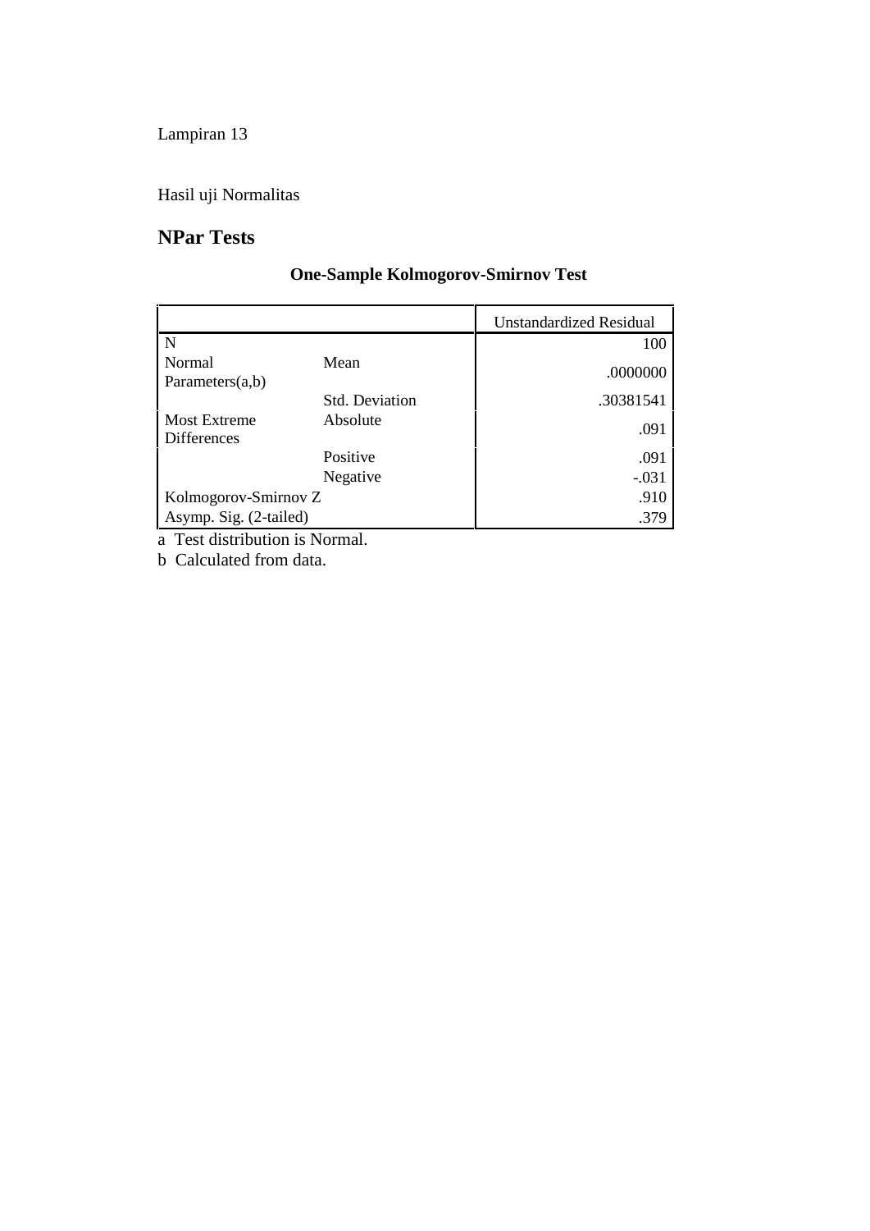Hasil uji Normalitas

# **NPar Tests**

# **One-Sample Kolmogorov-Smirnov Test**

|                                           |                       | <b>Unstandardized Residual</b> |
|-------------------------------------------|-----------------------|--------------------------------|
| N                                         |                       | 100                            |
| Normal<br>Parameters $(a,b)$              | Mean                  | .0000000                       |
|                                           | <b>Std. Deviation</b> | .30381541                      |
| <b>Most Extreme</b><br><b>Differences</b> | Absolute              | .091                           |
|                                           | Positive              | .091                           |
|                                           | Negative              | $-.031$                        |
| Kolmogorov-Smirnov Z                      |                       | .910                           |
| Asymp. Sig. (2-tailed)                    |                       | .379                           |

a Test distribution is Normal.

b Calculated from data.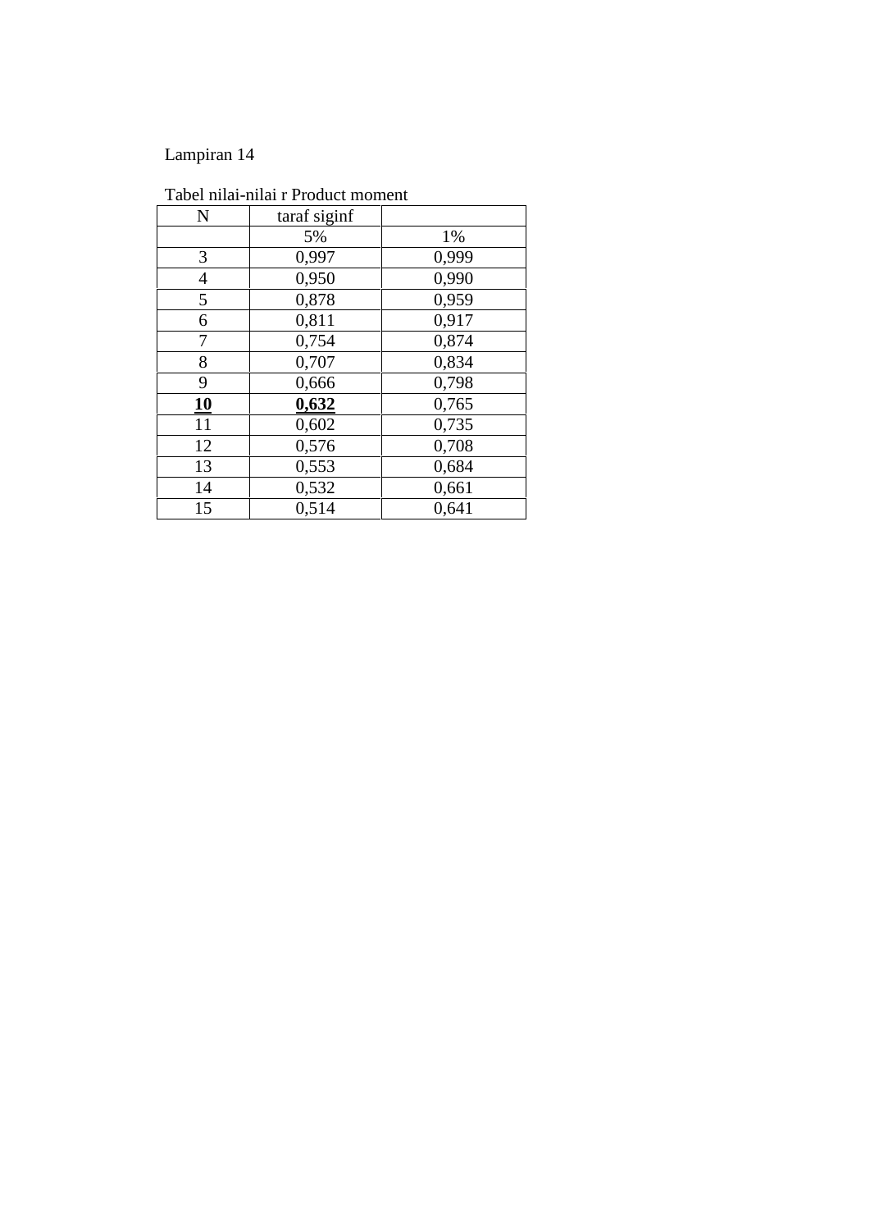| N              | taraf siginf |       |
|----------------|--------------|-------|
|                | 5%           | 1%    |
| 3              | 0,997        | 0,999 |
| $\overline{4}$ | 0,950        | 0,990 |
| 5              | 0,878        | 0,959 |
| 6              | 0,811        | 0,917 |
| 7              | 0,754        | 0,874 |
| 8              | 0,707        | 0,834 |
| 9              | 0,666        | 0,798 |
| 10             | 0,632        | 0,765 |
| 11             | 0,602        | 0,735 |
| 12             | 0,576        | 0,708 |
| 13             | 0,553        | 0,684 |
| 14             | 0,532        | 0,661 |
| 15             | 0,514        | 0,641 |

Tabel nilai-nilai r Product moment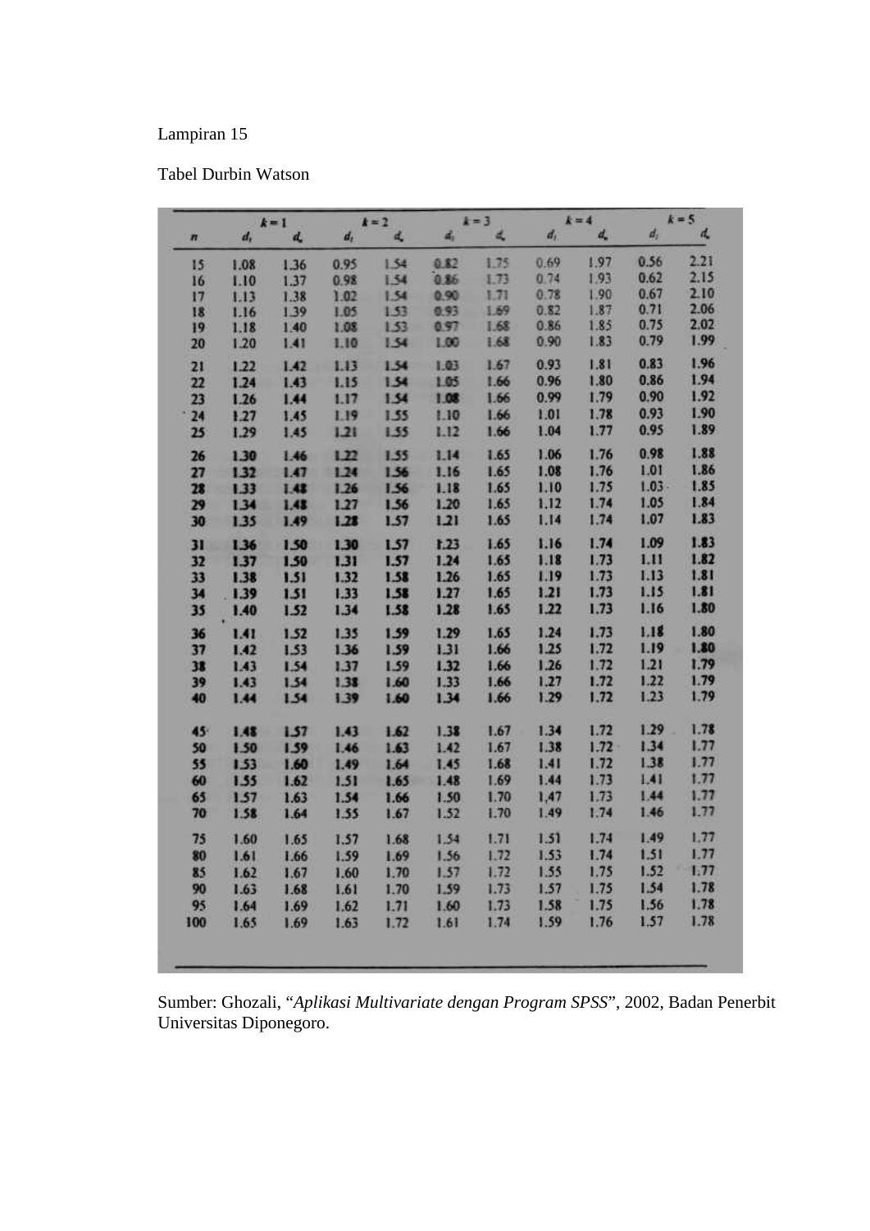### Tabel Durbin Watson

| $k = 1$                     |         |      |         | $k = 4$<br>$k = 2$ |      | $k = 3$ |       |          | $k = 5$  |      |  |
|-----------------------------|---------|------|---------|--------------------|------|---------|-------|----------|----------|------|--|
| $\overline{\boldsymbol{n}}$ | $d_{i}$ | d.   | $d_{t}$ | d.                 | đ,   | 凤       | $d_i$ | d,       | $d_1$    | d    |  |
| 15                          | 1.08    | 1.36 | 0.95    | 1.54               | 0.82 | 1.75    | 0.69  | 1.97     | 0.56     | 2.21 |  |
| 16                          | 1.10    | 1.37 | 0.98    | 1.54               | 0.86 | 1.73    | 0.74  | 1.93     | 0.62     | 2.15 |  |
| 17                          | 1.13    | 1.38 | 1.02    | 1.54               | 0.90 | 1.71    | 0.78  | 1.90     | 0.67     | 2.10 |  |
| 18                          | 1.16    | 1.39 | 1.05    | 1.53               | 0.93 | 1.69    | 0.82  | 1.87     | 0.71     | 2.06 |  |
| 19                          | 1.18    | 1.40 | 1.08    | 1.53               | 0.97 | 1.68    | 0.86  | 1.85     | 0.75     | 2.02 |  |
| 20                          | 1.20    | 1.41 | 1.10    | 1.54               | 1.00 | 1.68    | 0.90  | 1.83     | 0.79     | 1.99 |  |
| 21                          | 1.22    | 1.42 | 1.13    | 1.54               | 1.03 | 1.67    | 0.93  | 1.81     | 0.83     | 1.96 |  |
| 22                          | 1.24    | 1.43 | 1.15    | 1.54               | 1.05 | 1.66    | 0.96  | 1.80     | 0.86     | 1.94 |  |
| 23                          | 1.26    | 1.44 | 1.17    | 1.54               | 1.08 | 1.66    | 0.99  | 1.79     | 0.90     | 1.92 |  |
| 24                          | 1.27    | 1.45 | 1.19    | 1.55               | 1.10 | 1.66    | 1.01  | 1.78     | 0.93     | 1.90 |  |
| 25                          | 1.29    | 1.45 | 1.21    | 1.55               | 1.12 | 1.66    | 1.04  | 1.77     | 0.95     | 1.89 |  |
| 26                          | 1.30    | 1.46 | 1.22    | 1.55               | 1.14 | 1.65    | 1.06  | 1.76     | 0.98     | 1.88 |  |
| 27                          | 1.32    | 1.47 | 1.24    | 1.56               | 1.16 | 1.65    | 1.08  | 1.76     | 1.01     | 1.86 |  |
| 28                          | 1.33    | 1.48 | 1.26    | 1.56               | 1.18 | 1.65    | 1.10  | 1.75     | $1.03 -$ | 1.85 |  |
| 29                          | 1.34    | 1.43 | 1.27    | 1.56               | 1.20 | 1.65    | 1.12  | 1.74     | 1.05     | 1.84 |  |
| 30                          | 1.35    | 1.49 | 1.28    | 1.57               | 1,21 | 1.65    | 1.14  | 1.74     | 1.07     | 1.83 |  |
| 31                          | 1.36    | 1.50 | 1.30    | 1.57               | 1.23 | 1.65    | 1.16  | 1.74     | 1.09     | 1.83 |  |
| 32                          | 1.37    | 1.50 | 1.31    | 1.57               | 1.24 | 1.65    | 1.18  | 1.73     | 1.11     | 1.82 |  |
| 33                          | 1.38    | 1.51 | 1.32    | 1.58               | 1.26 | 1.65    | 1.19  | 1.73     | 1.13     | 1.81 |  |
| 34                          | .139    | 1.51 | 1.33    | 1.58               | 1.27 | 1.65    | 1.21  | 1.73     | 1.15     | 1.81 |  |
| 35                          | 1.40    | 1.52 | 1.34    | 1.58               | 1.28 | 1.65    | 1.22  | 1.73     | 1.16     | 1.80 |  |
| 36                          | 1.41    | 1.52 | 1.35    | 1.59               | 1.29 | 1.65    | 1.24  | 1.73     | 1.18     | 1.80 |  |
| 37                          | 1.42    | 1.53 | 1.36    | 1.59               | 1.31 | 1.66    | 1.25  | 1.72     | 1.19     | 1.80 |  |
| 38                          | 1.43    | 1.54 | 1.37    | 1.59               | 1.32 | 1.66    | 1.26  | 1.72     | 1.21     | 1.79 |  |
| 39                          | 1.43    | 1.54 | 1.38    | 1.60               | 1.33 | 1.66    | 1.27  | 1.72     | 1.22     | 1.79 |  |
| 40                          | 1.44    | 1.54 | 1.39    | 1.60               | 1.34 | 1.66    | 1.29  | 1.72     | 1.23     | 1.79 |  |
| 45                          |         |      |         |                    |      | 1.67    | 1.34  | 1.72     | 1.29     | 1.78 |  |
|                             | 1.48    | 1.57 | 1.43    | 1.62               | 1.38 | 1.67    | 1.38  | $1.72 -$ | 1.34     | 1.77 |  |
| 50                          | 1.50    | 1.59 | 1.46    | 1.63               | 1.42 |         | 1.41  | 1.72     | 1.38     | 1.77 |  |
| 55                          | 1.53    | 1.60 | 1.49    | 1.64               | 1.45 | 1.68    |       | 1.73     | 1.41     | 1.77 |  |
| 60                          | 1.55    | 1.62 | 1.51    | 1.65               | 1.48 | 1.69    | 1.44  | 1.73     | 1.44     | 1.77 |  |
| 65                          | 1.57    | 1.63 | 1.54    | 1.66               | 1.50 | 1.70    | 1,47  |          |          | 1.77 |  |
| 70                          | 1.58    | 1.64 | 1.55    | 1.67               | 1.52 | 1.70    | 1.49  | 1.74     | 1.46     |      |  |
| 75                          | 1.60    | 1.65 | 1.57    | 1.68               | 1.54 | 1.71    | 1.51  | 1.74     | 1.49     | 1.77 |  |
| 80                          | 1.61    | 1.66 | 1.59    | 1.69               | 1.56 | 1.72    | 1.53  | 1.74     | 1.51     | 1.77 |  |
| 85                          | 1.62    | 1.67 | 1.60    | 1.70               | 1.57 | 1.72    | 1.55  | 1.75     | 1.52     | 1.77 |  |
| 90                          | 1.63    | 1.68 | 1.61    | 1.70               | 1.59 | 1.73    | 1.57  | 1.75     | 1.54     | 1.78 |  |
| 95                          | 1.64    | 1.69 | 1.62    | 1.71               | 1.60 | 1.73    | 1.58  | 1.75     | 1.56     | 1.78 |  |
| 100                         | 1.65    | 1.69 | 1.63    | 1.72               | 1.61 | 1.74    | 1.59  | 1.76     | 1.57     | 1.78 |  |

Sumber: Ghozali, "*Aplikasi Multivariate dengan Program SPSS*", 2002, Badan Penerbit Universitas Diponegoro.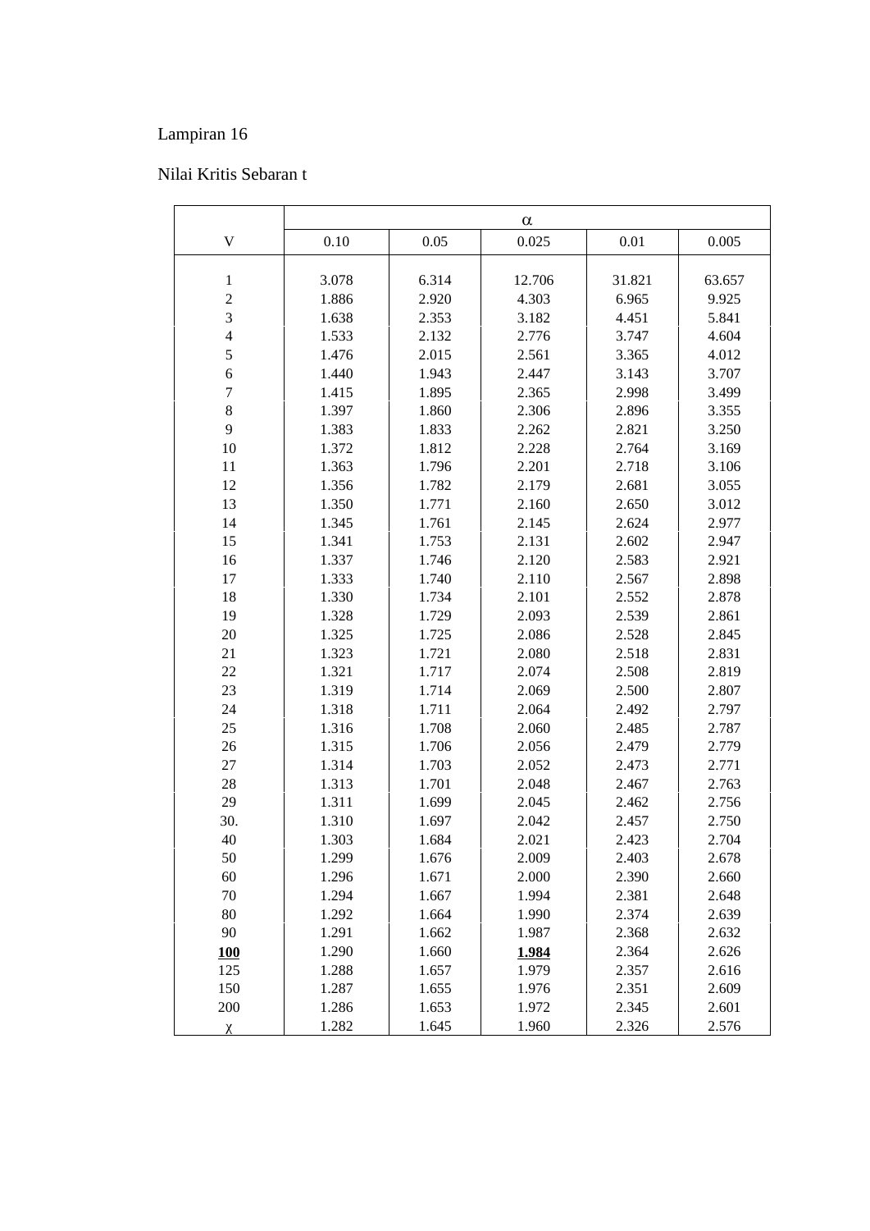## Nilai Kritis Sebaran t

| $\mathbf V$<br>0.025<br>0.10<br>0.05<br>0.01         | 0.005<br>63.657 |
|------------------------------------------------------|-----------------|
|                                                      |                 |
|                                                      |                 |
| 6.314<br>3.078<br>12.706<br>31.821<br>$\mathbf{1}$   |                 |
| $\sqrt{2}$<br>1.886<br>4.303<br>6.965<br>2.920       | 9.925           |
| 3<br>1.638<br>2.353<br>3.182<br>4.451                | 5.841           |
| $\overline{4}$<br>1.533<br>2.132<br>2.776<br>3.747   | 4.604           |
| 5<br>1.476<br>2.015<br>2.561<br>3.365                | 4.012           |
| $\epsilon$<br>1.440<br>1.943<br>2.447<br>3.143       | 3.707           |
| $\boldsymbol{7}$<br>2.365<br>1.415<br>1.895<br>2.998 | 3.499           |
| $8\,$<br>1.397<br>1.860<br>2.306<br>2.896            | 3.355           |
| 9<br>1.383<br>1.833<br>2.262<br>2.821                | 3.250           |
| 10<br>1.812<br>2.228<br>2.764<br>1.372               | 3.169           |
| 11<br>1.363<br>1.796<br>2.201<br>2.718               | 3.106           |
| 12<br>1.356<br>1.782<br>2.179<br>2.681               | 3.055           |
| 13<br>1.350<br>1.771<br>2.160<br>2.650               | 3.012           |
| 14<br>1.345<br>1.761<br>2.145<br>2.624               | 2.977           |
| 15<br>1.341<br>1.753<br>2.131<br>2.602               | 2.947           |
| 2.120<br>16<br>1.337<br>1.746<br>2.583               | 2.921           |
| 17<br>2.110<br>1.333<br>1.740<br>2.567               | 2.898           |
| 18<br>2.101<br>1.330<br>1.734<br>2.552               | 2.878           |
| 19<br>1.328<br>1.729<br>2.093<br>2.539               | 2.861           |
| $20\,$<br>1.325<br>1.725<br>2.086<br>2.528           | 2.845           |
| 21<br>1.323<br>1.721<br>2.080<br>2.518               | 2.831           |
| 22<br>1.321<br>1.717<br>2.074<br>2.508               | 2.819           |
| 23<br>1.319<br>1.714<br>2.069<br>2.500               | 2.807           |
| 24<br>1.318<br>1.711<br>2.064<br>2.492               | 2.797           |
| 25<br>1.316<br>1.708<br>2.060<br>2.485               | 2.787           |
| 26<br>1.315<br>1.706<br>2.056<br>2.479               | 2.779           |
| 27<br>1.314<br>1.703<br>2.052<br>2.473               | 2.771           |
| 28<br>1.313<br>1.701<br>2.048<br>2.467               | 2.763           |
| 29<br>1.311<br>1.699<br>2.045<br>2.462               | 2.756           |
| 30.<br>1.310<br>1.697<br>2.042<br>2.457              | 2.750           |
| 40<br>1.303<br>2.021<br>1.684<br>2.423               | 2.704           |
| 50<br>1.299<br>2.009<br>2.403<br>1.676               | 2.678           |
| 60<br>1.671<br>2.000<br>2.390<br>1.296               | 2.660           |
| 70<br>1.294<br>1.667<br>1.994<br>2.381               | 2.648           |
| 80<br>1.292<br>1.664<br>1.990<br>2.374               | 2.639           |
| 90<br>1.291<br>1.662<br>1.987<br>2.368               | 2.632           |
| 1.290<br>1.660<br>2.364<br><b>100</b><br>1.984       | 2.626           |
| 125<br>1.657<br>1.288<br>1.979<br>2.357              | 2.616           |
| 150<br>1.655<br>1.287<br>1.976<br>2.351              | 2.609           |
| 200<br>1.653<br>1.972<br>2.345<br>1.286              | 2.601           |
| 1.282<br>1.645<br>1.960<br>2.326                     | 2.576           |